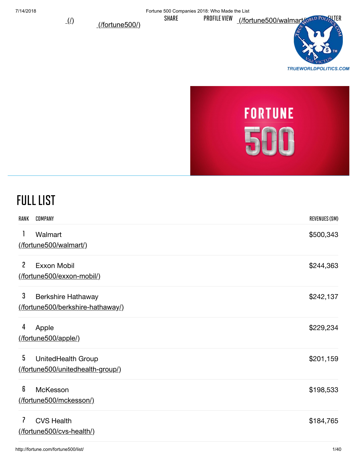(1) (*fortune5001*) SHARE PROFILE VIEW (*fortune500/walmart* (only Pourse ITER



# **FORTUNE** 500

## Full List

| RANK | COMPANY                                                       | <b>REVENUES (\$M)</b> |
|------|---------------------------------------------------------------|-----------------------|
| 1    | Walmart<br>(fortune500/walmart/)                              | \$500,343             |
| 2    | Exxon Mobil<br>(fortune500/exxon-mobil/)                      | \$244,363             |
| 3    | <b>Berkshire Hathaway</b><br>(fortune500/berkshire-hathaway/) | \$242,137             |
| 4    | Apple<br>(fortune500/apple/)                                  | \$229,234             |
| 5    | UnitedHealth Group<br>(fortune500/unitedhealth-group/)        | \$201,159             |
| 6    | McKesson<br>(fortune500/mckesson/)                            | \$198,533             |
| 7    | <b>CVS Health</b><br>(fortune500/cvs-health/)                 | \$184,765             |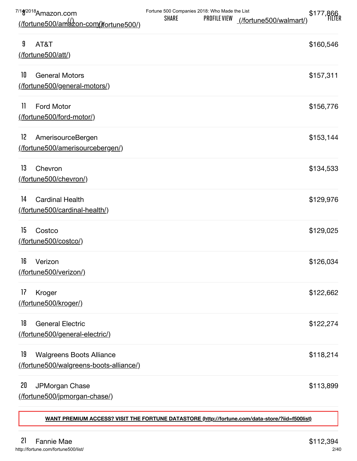| 7/18 <sup>2018</sup> Amazon.com<br>(/fortune500/amazon-com//fortune500/)        | Fortune 500 Companies 2018: Who Made the List<br><b>SHARE</b> | <b>PROFILE VIEW</b> | (/fortune500/walmart/) | \$177,866 |
|---------------------------------------------------------------------------------|---------------------------------------------------------------|---------------------|------------------------|-----------|
| 9<br>AT&T<br>(/fortune500/att/)                                                 |                                                               |                     |                        | \$160,546 |
| 10<br><b>General Motors</b><br>(fortune500/general-motors/)                     |                                                               |                     |                        | \$157,311 |
| 11<br><b>Ford Motor</b><br>(fortune500/ford-motor/)                             |                                                               |                     |                        | \$156,776 |
| 12<br>AmerisourceBergen<br>(fortune500/amerisourcebergen/)                      |                                                               |                     |                        | \$153,144 |
| 13<br>Chevron<br>(fortune500/chevron/)                                          |                                                               |                     |                        | \$134,533 |
| 14<br><b>Cardinal Health</b><br>(fortune500/cardinal-health/)                   |                                                               |                     |                        | \$129,976 |
| 15<br>Costco<br>(/fortune500/costco/)                                           |                                                               |                     |                        | \$129,025 |
| 16<br>Verizon<br>(fortune500/verizon/)                                          |                                                               |                     |                        | \$126,034 |
| 17<br>Kroger<br>(/fortune500/kroger/)                                           |                                                               |                     |                        | \$122,662 |
| 18<br><b>General Electric</b><br>(fortune500/general-electric/)                 |                                                               |                     |                        | \$122,274 |
| 19<br><b>Walgreens Boots Alliance</b><br>(fortune500/walgreens-boots-alliance/) |                                                               |                     |                        | \$118,214 |
| 20<br>JPMorgan Chase<br>(fortune500/jpmorgan-chase/)                            |                                                               |                     |                        | \$113,899 |

**[WANT PREMIUM ACCESS? VISIT THE FORTUNE DATASTORE \(http://fortune.com/data-store/?iid=f500list\)](http://fortune.com/data-store/?iid=f500list)**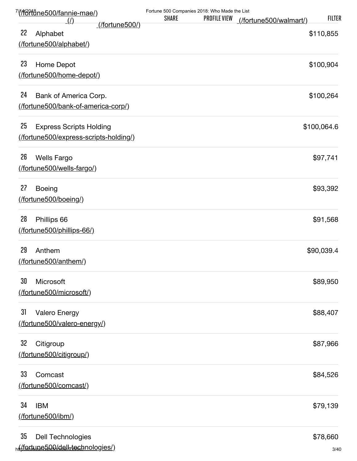| <u>7/(/f/3ºftåne500/fannie-mae/)</u><br><u>(/)</u>                              | Fortune 500 Companies 2018: Who Made the List<br><b>SHARE</b> | <b>PROFILE VIEW</b> | (/fortune500/walmart/) | <b>FILTER</b>    |
|---------------------------------------------------------------------------------|---------------------------------------------------------------|---------------------|------------------------|------------------|
| (/fortune500/)<br>22<br>Alphabet                                                |                                                               |                     |                        | \$110,855        |
| (/fortune500/alphabet/)                                                         |                                                               |                     |                        |                  |
| 23<br>Home Depot<br>(/fortune500/home-depot/)                                   |                                                               |                     |                        | \$100,904        |
| 24<br>Bank of America Corp.<br>(fortune500/bank-of-america-corp/)               |                                                               |                     |                        | \$100,264        |
| 25<br><b>Express Scripts Holding</b><br>(fortune500/express-scripts-holding/)   |                                                               |                     |                        | \$100,064.6      |
| 26<br><b>Wells Fargo</b><br>(fortune500/wells-fargo/)                           |                                                               |                     |                        | \$97,741         |
| 27<br><b>Boeing</b><br>(fortune500/boeing/)                                     |                                                               |                     |                        | \$93,392         |
| 28<br>Phillips 66<br>(fortune500/phillips-66/)                                  |                                                               |                     |                        | \$91,568         |
| 29<br>Anthem<br>(/fortune500/anthem/)                                           |                                                               |                     |                        | \$90,039.4       |
| 30<br>Microsoft<br>(/fortune500/microsoft/)                                     |                                                               |                     |                        | \$89,950         |
| 31<br><b>Valero Energy</b><br>(fortune500/valero-energy/)                       |                                                               |                     |                        | \$88,407         |
| 32<br>Citigroup<br>(fortune500/citigroup/)                                      |                                                               |                     |                        | \$87,966         |
| 33<br>Comcast<br>(fortune500/comcast/)                                          |                                                               |                     |                        | \$84,526         |
| 34<br><b>IBM</b><br>(fortune500/ibm/)                                           |                                                               |                     |                        | \$79,139         |
| 35<br><b>Dell Technologies</b><br><sub>ht</sub> (fortune500/dell-tochnologies/) |                                                               |                     |                        | \$78,660<br>3/40 |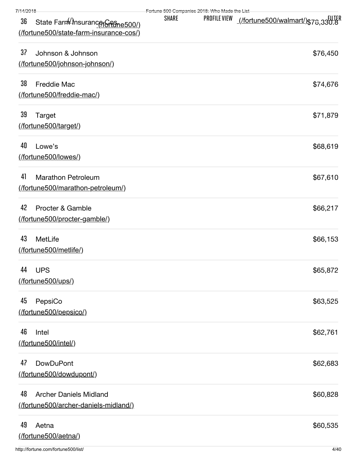| 7/14/2018                                                                                       | Fortune 500 Companies 2018: Who Made the List |              |                                          |
|-------------------------------------------------------------------------------------------------|-----------------------------------------------|--------------|------------------------------------------|
| 36<br>State Farm <sup>(2)</sup> nsuranceroffune500/)<br>(/fortune500/state-farm-insurance-cos/) | <b>SHARE</b>                                  | PROFILE VIEW | <u>(/fortune500/walmart/)</u> \$78,330.8 |
| 37<br>Johnson & Johnson<br>(/fortune500/johnson-johnson/)                                       |                                               |              | \$76,450                                 |
| 38<br><b>Freddie Mac</b><br>(/fortune500/freddie-mac/)                                          |                                               |              | \$74,676                                 |
| 39<br>Target<br>(/fortune500/target/)                                                           |                                               |              | \$71,879                                 |
| 40<br>Lowe's<br>(fortune500/lowes/)                                                             |                                               |              | \$68,619                                 |
| 41<br><b>Marathon Petroleum</b><br>(fortune500/marathon-petroleum/)                             |                                               |              | \$67,610                                 |
| 42<br>Procter & Gamble<br>(/fortune500/procter-gamble/)                                         |                                               |              | \$66,217                                 |
| 43<br>MetLife<br>(/fortune500/metlife/)                                                         |                                               |              | \$66,153                                 |
| 44 UPS<br>(/fortune500/ups/)                                                                    |                                               |              | \$65,872                                 |
| 45<br>PepsiCo<br>(fortune500/pepsico/)                                                          |                                               |              | \$63,525                                 |
| 46<br>Intel<br>(/fortune500/intel/)                                                             |                                               |              | \$62,761                                 |
| 47<br><b>DowDuPont</b><br>(fortune500/dowdupont/)                                               |                                               |              | \$62,683                                 |
| 48<br><b>Archer Daniels Midland</b><br>(fortune500/archer-daniels-midland/)                     |                                               |              | \$60,828                                 |
| 49<br>Aetna<br>(fortune500/aetna/)                                                              |                                               |              | \$60,535                                 |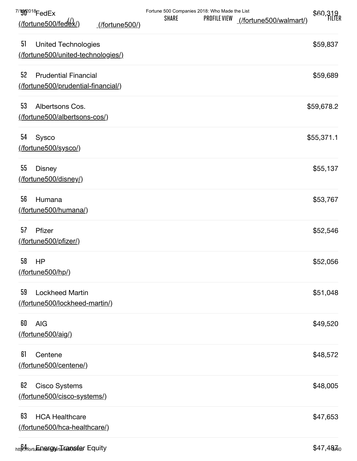| 7/Ff <sup>p018</sup> FedEx<br>(/fortune500/fedex/)<br>(/fortune500/)     | Fortune 500 Companies 2018: Who Made the List<br><b>SHARE</b> | <b>PROFILE VIEW</b> | (/fortune500/walmart/) | \$60,319   |
|--------------------------------------------------------------------------|---------------------------------------------------------------|---------------------|------------------------|------------|
| 51<br><b>United Technologies</b><br>(fortune500/united-technologies/)    |                                                               |                     |                        | \$59,837   |
| 52<br><b>Prudential Financial</b><br>(/fortune500/prudential-financial/) |                                                               |                     |                        | \$59,689   |
| 53<br>Albertsons Cos.<br>(fortune500/albertsons-cos/)                    |                                                               |                     |                        | \$59,678.2 |
| 54<br>Sysco<br>(/fortune500/sysco/)                                      |                                                               |                     |                        | \$55,371.1 |
| 55<br><b>Disney</b><br>(/fortune500/disney/)                             |                                                               |                     |                        | \$55,137   |
| 56<br>Humana<br>(/fortune500/humana/)                                    |                                                               |                     |                        | \$53,767   |
| 57<br>Pfizer<br>(/fortune500/pfizer/)                                    |                                                               |                     |                        | \$52,546   |
| 58<br><b>HP</b><br>(fortune500/hp/)                                      |                                                               |                     |                        | \$52,056   |
| 59<br><b>Lockheed Martin</b><br>(fortune500/lockheed-martin/)            |                                                               |                     |                        | \$51,048   |
| 60<br><b>AIG</b><br>(/fortune500/aig/)                                   |                                                               |                     |                        | \$49,520   |
| 61<br>Centene<br>(/fortune500/centene/)                                  |                                                               |                     |                        | \$48,572   |
| 62<br><b>Cisco Systems</b><br>(fortune500/cisco-systems/)                |                                                               |                     |                        | \$48,005   |
| 63<br><b>HCA Healthcare</b><br>(fortune500/hca-healthcare/)              |                                                               |                     |                        | \$47,653   |
| http://fortuեն.engry/rtura.osfer Equity                                  |                                                               |                     |                        | \$47,4870  |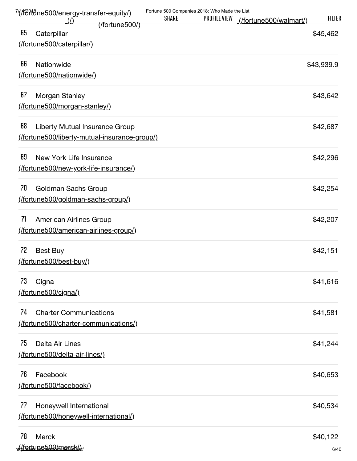| <u>7/(ffortåne500/energy-transfer-equity/)</u>        | Fortune 500 Companies 2018: Who Made the List |              |                        | <b>FILTER</b> |
|-------------------------------------------------------|-----------------------------------------------|--------------|------------------------|---------------|
| $\langle \underline{l} \rangle$<br>$($ fortune500 $/$ | <b>SHARE</b>                                  | PROFILE VIEW | (/fortune500/walmart/) |               |
| 65<br>Caterpillar                                     |                                               |              |                        | \$45,462      |
| (/fortune500/caterpillar/)                            |                                               |              |                        |               |
| 66<br>Nationwide                                      |                                               |              |                        | \$43,939.9    |
| (/fortune500/nationwide/)                             |                                               |              |                        |               |
| 67<br>Morgan Stanley                                  |                                               |              |                        | \$43,642      |
| (fortune500/morgan-stanley/)                          |                                               |              |                        |               |
| 68<br>Liberty Mutual Insurance Group                  |                                               |              |                        | \$42,687      |
| (fortune500/liberty-mutual-insurance-group/)          |                                               |              |                        |               |
| 69<br>New York Life Insurance                         |                                               |              |                        | \$42,296      |
| (fortune500/new-york-life-insurance/)                 |                                               |              |                        |               |
| 70<br>Goldman Sachs Group                             |                                               |              |                        | \$42,254      |
| (fortune500/goldman-sachs-group/)                     |                                               |              |                        |               |
| 71<br><b>American Airlines Group</b>                  |                                               |              |                        | \$42,207      |
| (fortune500/american-airlines-group/)                 |                                               |              |                        |               |
| 72<br>Best Buy                                        |                                               |              |                        | \$42,151      |
| (/fortune500/best-buy/)                               |                                               |              |                        |               |
| 73<br>Cigna                                           |                                               |              |                        | \$41,616      |
| (fortune500/cigna/)                                   |                                               |              |                        |               |
| 74<br><b>Charter Communications</b>                   |                                               |              |                        | \$41,581      |
| (fortune500/charter-communications/)                  |                                               |              |                        |               |
| 75<br>Delta Air Lines                                 |                                               |              |                        | \$41,244      |
| (fortune500/delta-air-lines/)                         |                                               |              |                        |               |
| 76<br>Facebook                                        |                                               |              |                        | \$40,653      |
| (fortune500/facebook/)                                |                                               |              |                        |               |
| 77<br>Honeywell International                         |                                               |              |                        | \$40,534      |
| (fortune500/honeywell-international/)                 |                                               |              |                        |               |
| 78<br><b>Merck</b>                                    |                                               |              |                        | \$40,122      |
| <sub>ht</sub> /fortune500/mersk/) <sub>v</sub>        |                                               |              |                        | 6/40          |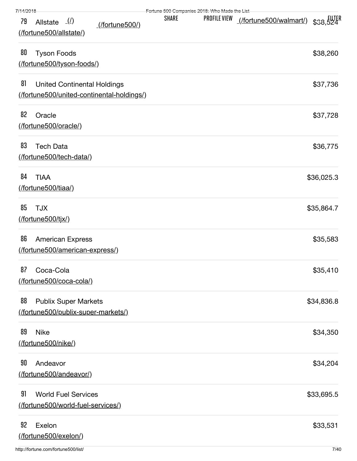|  |  | 7/14/2019 |  |  |
|--|--|-----------|--|--|
|  |  |           |  |  |

| 7/14/2018 |                                                                   |                                           |              | Fortuno 500 Companios 2018: Who Made the List |                               |            |
|-----------|-------------------------------------------------------------------|-------------------------------------------|--------------|-----------------------------------------------|-------------------------------|------------|
| 79        | Allstate $($ <i>l</i> )<br>(/fortune500/allstate/)                | (/fortune500/)                            | <b>SHARE</b> | PROFILE VIEW                                  | flutune500/walmart/) \$38,524 |            |
| 80        | <b>Tyson Foods</b><br>(fortune500/tyson-foods/)                   |                                           |              |                                               |                               | \$38,260   |
| 81        | <b>United Continental Holdings</b>                                | (fortune500/united-continental-holdings/) |              |                                               |                               | \$37,736   |
| 82        | Oracle<br>(/fortune500/oracle/)                                   |                                           |              |                                               |                               | \$37,728   |
| 83        | <b>Tech Data</b><br>(/fortune500/tech-data/)                      |                                           |              |                                               |                               | \$36,775   |
| 84        | <b>TIAA</b><br>(/fortune500/tiaa/)                                |                                           |              |                                               |                               | \$36,025.3 |
| 85        | <b>TJX</b><br><u>(/fortune500/tjx/)</u>                           |                                           |              |                                               |                               | \$35,864.7 |
| 86        | <b>American Express</b><br>(fortune500/american-express/)         |                                           |              |                                               |                               | \$35,583   |
| 87        | Coca-Cola<br>(/fortune500/coca-cola/)                             |                                           |              |                                               |                               | \$35,410   |
| 88        | <b>Publix Super Markets</b><br>(fortune500/publix-super-markets/) |                                           |              |                                               |                               | \$34,836.8 |
| 89        | <b>Nike</b><br>(/fortune500/nike/)                                |                                           |              |                                               |                               | \$34,350   |
| 90        | Andeavor<br>(fortune500/andeavor/)                                |                                           |              |                                               |                               | \$34,204   |
| 91        | <b>World Fuel Services</b><br>(fortune500/world-fuel-services/)   |                                           |              |                                               |                               | \$33,695.5 |
| 92        | Exelon<br>(fortune500/exelon/)                                    |                                           |              |                                               |                               | \$33,531   |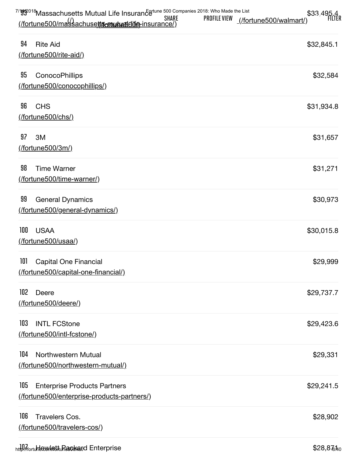| $^{7/9}$ $^{9/2018}$ Massachusetts Mutual Life Insurance $^{600}$ Companies 2018: Who Made the List |       |                     |                             |                      |
|-----------------------------------------------------------------------------------------------------|-------|---------------------|-----------------------------|----------------------|
|                                                                                                     | SHARE | <b>PROFILE VIEW</b> | $($ fortune500/walmart $')$ | \$33,495.4<br>FILTER |
| $($ fortune500/massachusett $\epsilon$ mutuatidi $\theta$ -insurance/)                              |       |                     |                             |                      |

| 94<br><b>Rite Aid</b><br>(/fortune500/rite-aid/)                                         | \$32,845.1 |
|------------------------------------------------------------------------------------------|------------|
| 95<br>ConocoPhillips<br>(/fortune500/conocophillips/)                                    | \$32,584   |
| 96<br><b>CHS</b><br>(/fortune500/chs/)                                                   | \$31,934.8 |
| 97<br>3M<br>$($ /fortune500/3m/ $)$                                                      | \$31,657   |
| 98<br><b>Time Warner</b><br>(fortune500/time-warner/)                                    | \$31,271   |
| 99<br><b>General Dynamics</b><br>(fortune500/general-dynamics/)                          | \$30,973   |
| 100<br><b>USAA</b><br>(fortune500/usaa/)                                                 | \$30,015.8 |
| 101<br><b>Capital One Financial</b><br>(fortune500/capital-one-financial/)               | \$29,999   |
| 102 Deere<br>(fortune500/deere/)                                                         | \$29,737.7 |
| 103<br><b>INTL FCStone</b><br>(fortune500/intl-fcstone/)                                 | \$29,423.6 |
| 104<br>Northwestern Mutual<br>(fortune500/northwestern-mutual/)                          | \$29,331   |
| 105<br><b>Enterprise Products Partners</b><br>(fortune500/enterprise-products-partners/) | \$29,241.5 |
| 106<br><b>Travelers Cos.</b><br><u>(fortune500/travelers-cos/)</u>                       | \$28,902   |

 $h$ tt $\mu$  $\ell$ fortu<del>n $\ell$ ewlett Inasokia</del>rd Enterprise  $$28,8\,\hbar$ o $\,$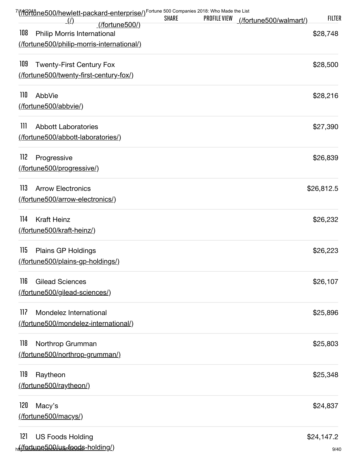| 7/(16916) net Companies 2018: Who Made the List (16916) of the Way United States Companies 2018: Who Made the List<br>$\langle \rho \rangle$ | <b>SHARE</b> | <b>PROFILE VIEW</b> | (/fortune500/walmart/) | <b>FILTER</b> |
|----------------------------------------------------------------------------------------------------------------------------------------------|--------------|---------------------|------------------------|---------------|
| (/fortune500/)<br>108<br><b>Philip Morris International</b>                                                                                  |              |                     |                        | \$28,748      |
| (fortune500/philip-morris-international/)                                                                                                    |              |                     |                        |               |
| 109<br><b>Twenty-First Century Fox</b>                                                                                                       |              |                     |                        | \$28,500      |
| (fortune500/twenty-first-century-fox/)                                                                                                       |              |                     |                        |               |
| 110<br>AbbVie                                                                                                                                |              |                     |                        | \$28,216      |
| (fortune500/abbvie/)                                                                                                                         |              |                     |                        |               |
| 111<br><b>Abbott Laboratories</b>                                                                                                            |              |                     |                        | \$27,390      |
| (fortune500/abbott-laboratories/)                                                                                                            |              |                     |                        |               |
| 112<br>Progressive                                                                                                                           |              |                     |                        | \$26,839      |
| (fortune500/progressive/)                                                                                                                    |              |                     |                        |               |
| 113<br><b>Arrow Electronics</b>                                                                                                              |              |                     |                        | \$26,812.5    |
| (fortune500/arrow-electronics/)                                                                                                              |              |                     |                        |               |
| 114<br><b>Kraft Heinz</b>                                                                                                                    |              |                     |                        | \$26,232      |
| (fortune500/kraft-heinz/)                                                                                                                    |              |                     |                        |               |
| 115<br><b>Plains GP Holdings</b>                                                                                                             |              |                     |                        | \$26,223      |
| (fortune500/plains-gp-holdings/)                                                                                                             |              |                     |                        |               |
| 116<br><b>Gilead Sciences</b>                                                                                                                |              |                     |                        | \$26,107      |
| (fortune500/gilead-sciences/)                                                                                                                |              |                     |                        |               |
| 117<br>Mondelez International                                                                                                                |              |                     |                        | \$25,896      |
| (fortune500/mondelez-international/)                                                                                                         |              |                     |                        |               |
| 118<br>Northrop Grumman                                                                                                                      |              |                     |                        | \$25,803      |
| (fortune500/northrop-grumman/)                                                                                                               |              |                     |                        |               |
| 119<br>Raytheon                                                                                                                              |              |                     |                        | \$25,348      |
| (fortune500/raytheon/)                                                                                                                       |              |                     |                        |               |
| 120<br>Macy's                                                                                                                                |              |                     |                        | \$24,837      |
| (/fortune500/macys/)                                                                                                                         |              |                     |                        |               |
| 121<br><b>US Foods Holding</b>                                                                                                               |              |                     |                        | \$24,147.2    |
| ht/fortune500/ws=foods-holding/)                                                                                                             |              |                     |                        | 9/40          |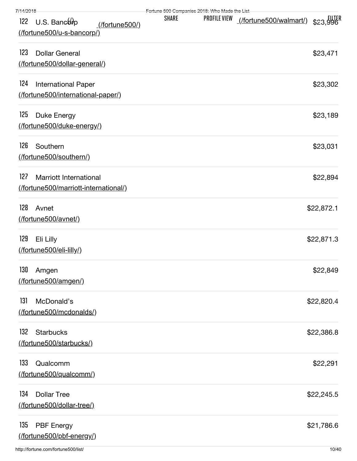| 7/14/2018 |  |
|-----------|--|
|           |  |

| 7/14/2018                                                              | Fortune 500 Companies 2018: Who Made the List |              |                        |            |
|------------------------------------------------------------------------|-----------------------------------------------|--------------|------------------------|------------|
| $U.S.$ Bancop<br>122<br>(/fortune500/)<br>(fortune500/u-s-bancorp/)    | <b>SHARE</b>                                  | PROFILE VIEW | (/fortune500/walmart/) | \$23,996   |
| 123<br><b>Dollar General</b><br>(/fortune500/dollar-general/)          |                                               |              |                        | \$23,471   |
| 124<br><b>International Paper</b><br>(fortune500/international-paper/) |                                               |              |                        | \$23,302   |
| 125<br>Duke Energy<br>(fortune500/duke-energy/)                        |                                               |              |                        | \$23,189   |
| 126<br>Southern<br>(/fortune500/southern/)                             |                                               |              |                        | \$23,031   |
| 127<br>Marriott International<br>(fortune500/marriott-international/)  |                                               |              |                        | \$22,894   |
| 128<br>Avnet<br>(/fortune500/avnet/)                                   |                                               |              |                        | \$22,872.1 |
| 129<br>Eli Lilly<br>(/fortune500/eli-lilly/)                           |                                               |              |                        | \$22,871.3 |
| 130 Amgen<br>(fortune500/amgen/)                                       |                                               |              |                        | \$22,849   |
| 131<br>McDonald's<br>(fortune500/mcdonalds/)                           |                                               |              |                        | \$22,820.4 |
| 132<br><b>Starbucks</b><br>(fortune500/starbucks/)                     |                                               |              |                        | \$22,386.8 |
| 133<br>Qualcomm<br>(fortune500/qualcomm/)                              |                                               |              |                        | \$22,291   |
| 134<br><b>Dollar Tree</b><br>(fortune500/dollar-tree/)                 |                                               |              |                        | \$22,245.5 |
| 135<br><b>PBF</b> Energy<br>(/fortune500/pbf-energy/)                  |                                               |              |                        | \$21,786.6 |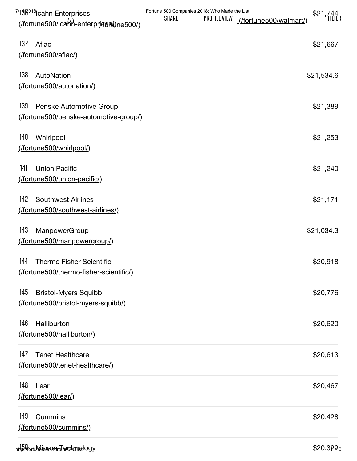| <sup>7/</sup> 13 <sup>8018</sup> lcahn Enterprises<br>(/fortune500/icaHn-enterprises)ne500/) | Fortune 500 Companies 2018: Who Made the List<br><b>PROFILE VIEW</b><br><b>SHARE</b> | (/fortune500/walmart/) | \$21,744    |
|----------------------------------------------------------------------------------------------|--------------------------------------------------------------------------------------|------------------------|-------------|
| 137<br>Aflac<br>(/fortune500/aflac/)                                                         |                                                                                      |                        | \$21,667    |
| 138<br>AutoNation<br>(/fortune500/autonation/)                                               |                                                                                      |                        | \$21,534.6  |
| 139<br>Penske Automotive Group<br>(fortune500/penske-automotive-group/)                      |                                                                                      |                        | \$21,389    |
| 140<br>Whirlpool<br>(/fortune500/whirlpool/)                                                 |                                                                                      |                        | \$21,253    |
| 141<br><b>Union Pacific</b><br>(fortune500/union-pacific/)                                   |                                                                                      |                        | \$21,240    |
| 142<br><b>Southwest Airlines</b><br>(/fortune500/southwest-airlines/)                        |                                                                                      |                        | \$21,171    |
| 143<br>ManpowerGroup<br>(fortune500/manpowergroup/)                                          |                                                                                      |                        | \$21,034.3  |
| 144<br><b>Thermo Fisher Scientific</b><br>(fortune500/thermo-fisher-scientific/)             |                                                                                      |                        | \$20,918    |
| 145<br><b>Bristol-Myers Squibb</b><br>(fortune500/bristol-myers-squibb/)                     |                                                                                      |                        | \$20,776    |
| 146<br>Halliburton<br>(fortune500/halliburton/)                                              |                                                                                      |                        | \$20,620    |
| 147<br><b>Tenet Healthcare</b><br>(fortune500/tenet-healthcare/)                             |                                                                                      |                        | \$20,613    |
| 148<br>Lear<br>(/fortune500/lear/)                                                           |                                                                                      |                        | \$20,467    |
| 149<br>Cummins<br>(fortune500/cummins/)                                                      |                                                                                      |                        | \$20,428    |
| http://tortuMeischondrtures/bmsology                                                         |                                                                                      |                        | $$20,322_0$ |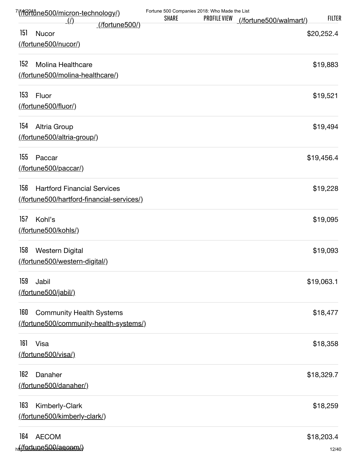| $\mathcal{L}(t)$                                                                       | Fortune 500 Companies 2018: Who Made the List<br><b>SHARE</b> | <b>PROFILE VIEW</b> | (/fortune500/walmart/) | <b>FILTER</b>       |
|----------------------------------------------------------------------------------------|---------------------------------------------------------------|---------------------|------------------------|---------------------|
| <u>(/fortune500/)</u><br>151<br>Nucor<br>(/fortune500/nucor/)                          |                                                               |                     |                        | \$20,252.4          |
| 152<br>Molina Healthcare<br>(fortune500/molina-healthcare/)                            |                                                               |                     |                        | \$19,883            |
| 153<br>Fluor<br>(/fortune500/fluor/)                                                   |                                                               |                     |                        | \$19,521            |
| 154<br>Altria Group<br>(fortune500/altria-group/)                                      |                                                               |                     |                        | \$19,494            |
| 155<br>Paccar<br>(/fortune500/paccar/)                                                 |                                                               |                     |                        | \$19,456.4          |
| 156<br><b>Hartford Financial Services</b><br>(fortune500/hartford-financial-services/) |                                                               |                     |                        | \$19,228            |
| 157<br>Kohl's<br>(fortune500/kohls/)                                                   |                                                               |                     |                        | \$19,095            |
| 158<br><b>Western Digital</b><br>(/fortune500/western-digital/)                        |                                                               |                     |                        | \$19,093            |
| 159<br>Jabil<br>(/fortune500/jabil/)                                                   |                                                               |                     |                        | \$19,063.1          |
| 160<br><b>Community Health Systems</b><br>(fortune500/community-health-systems/)       |                                                               |                     |                        | \$18,477            |
| 161<br>Visa<br>(/fortune500/visa/)                                                     |                                                               |                     |                        | \$18,358            |
| 162<br>Danaher<br>(fortune500/danaher/)                                                |                                                               |                     |                        | \$18,329.7          |
| 163<br>Kimberly-Clark<br>(fortune500/kimberly-clark/)                                  |                                                               |                     |                        | \$18,259            |
| 164<br><b>AECOM</b><br>ht/fortune500/aecom/)                                           |                                                               |                     |                        | \$18,203.4<br>12/40 |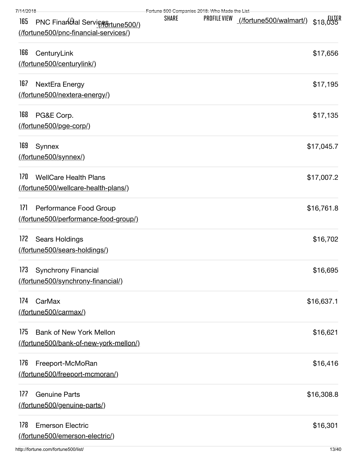| 7/14/2018                                                                        | Fortune 500 Companies 2018: Who Made the List |              |                                        |            |
|----------------------------------------------------------------------------------|-----------------------------------------------|--------------|----------------------------------------|------------|
| PNC Financial ServiceSrtune500/)<br>165<br>(/fortune500/pnc-financial-services/) | <b>SHARE</b>                                  | PROFILE VIEW | <u>(/fortune500/walmart/)</u> \$18,035 |            |
| 166<br>CenturyLink                                                               |                                               |              |                                        | \$17,656   |
| (fortune500/centurylink/)                                                        |                                               |              |                                        |            |
| 167<br>NextEra Energy<br>(fortune500/nextera-energy/)                            |                                               |              |                                        | \$17,195   |
| 168<br>PG&E Corp.                                                                |                                               |              |                                        | \$17,135   |
| (fortune500/pge-corp/)                                                           |                                               |              |                                        |            |
| 169<br>Synnex<br>(/fortune500/synnex/)                                           |                                               |              |                                        | \$17,045.7 |
| 170<br><b>WellCare Health Plans</b><br>(fortune500/wellcare-health-plans/)       |                                               |              |                                        | \$17,007.2 |
| 171<br>Performance Food Group<br>(fortune500/performance-food-group/)            |                                               |              |                                        | \$16,761.8 |
| 172<br>Sears Holdings<br>(fortune500/sears-holdings/)                            |                                               |              |                                        | \$16,702   |
| 173 Synchrony Financial<br>(/fortune500/synchrony-financial/)                    |                                               |              |                                        | \$16,695   |
| 174<br>CarMax<br>(fortune500/carmax/)                                            |                                               |              |                                        | \$16,637.1 |
| 175<br><b>Bank of New York Mellon</b><br>(fortune500/bank-of-new-york-mellon/)   |                                               |              |                                        | \$16,621   |
| 176<br>Freeport-McMoRan<br>(fortune500/freeport-mcmoran/)                        |                                               |              |                                        | \$16,416   |
| 177<br><b>Genuine Parts</b><br>(fortune500/genuine-parts/)                       |                                               |              |                                        | \$16,308.8 |
| 178<br><b>Emerson Electric</b><br>(fortune500/emerson-electric/)                 |                                               |              |                                        | \$16,301   |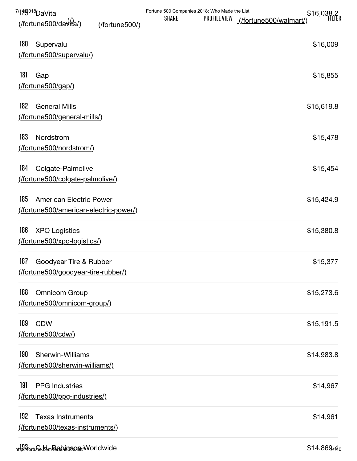| 7/179018 Da Vita<br><u>(/fortune500/davita/)</u><br>(/fortune500/)      | Fortune 500 Companies 2018: Who Made the List<br>\$16,038.2<br><b>SHARE</b><br><b>PROFILE VIEW</b><br>(/fortune500/walmart/) |
|-------------------------------------------------------------------------|------------------------------------------------------------------------------------------------------------------------------|
| 180<br>Supervalu<br>(/fortune500/supervalu/)                            | \$16,009                                                                                                                     |
| 181<br>Gap<br>(fortune500/gap/)                                         | \$15,855                                                                                                                     |
| 182<br><b>General Mills</b><br>(fortune500/general-mills/)              | \$15,619.8                                                                                                                   |
| 183<br>Nordstrom<br>(/fortune500/nordstrom/)                            | \$15,478                                                                                                                     |
| 184<br>Colgate-Palmolive<br>(fortune500/colgate-palmolive/)             | \$15,454                                                                                                                     |
| 185<br>American Electric Power<br>(fortune500/american-electric-power/) | \$15,424.9                                                                                                                   |
| 186<br><b>XPO Logistics</b><br>(/fortune500/xpo-logistics/)             | \$15,380.8                                                                                                                   |
| 187<br>Goodyear Tire & Rubber<br>(fortune500/goodyear-tire-rubber/)     | \$15,377                                                                                                                     |
| 188<br><b>Omnicom Group</b><br>(fortune500/omnicom-group/)              | \$15,273.6                                                                                                                   |
| 189<br><b>CDW</b><br>(/fortune500/cdw/)                                 | \$15,191.5                                                                                                                   |
| 190<br>Sherwin-Williams<br>(/fortune500/sherwin-williams/)              | \$14,983.8                                                                                                                   |
| 191<br><b>PPG</b> Industries<br>(/fortune500/ppg-industries/)           | \$14,967                                                                                                                     |
| 192<br><b>Texas Instruments</b><br>(/fortune500/texas-instruments/)     | \$14,961                                                                                                                     |
| http://ortufe.tdm/Redpigsongt/Worldwide                                 | $$14,869_4$ 40                                                                                                               |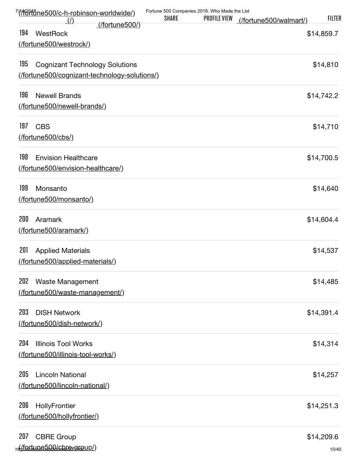| $\left($ /                                                                                   | <b>SHARE</b> | Fortune 500 Companies 2018: Who Made the List<br>PROFILE VIEW | (/fortune500/walmart/) | <b>FILTER</b>       |
|----------------------------------------------------------------------------------------------|--------------|---------------------------------------------------------------|------------------------|---------------------|
| (/fortune500/)<br>194<br>WestRock<br>(/fortune500/westrock/)                                 |              |                                                               |                        | \$14,859.7          |
| 195<br><b>Cognizant Technology Solutions</b><br>(fortune500/cognizant-technology-solutions/) |              |                                                               |                        | \$14,810            |
| 196<br><b>Newell Brands</b><br>(fortune500/newell-brands/)                                   |              |                                                               |                        | \$14,742.2          |
| 197<br><b>CBS</b><br>$($ /fortune500/cbs/ $)$                                                |              |                                                               |                        | \$14,710            |
| 198<br><b>Envision Healthcare</b><br>(/fortune500/envision-healthcare/)                      |              |                                                               |                        | \$14,700.5          |
| 199<br>Monsanto<br>(/fortune500/monsanto/)                                                   |              |                                                               |                        | \$14,640            |
| 200<br>Aramark<br>(/fortune500/aramark/)                                                     |              |                                                               |                        | \$14,604.4          |
| 201<br><b>Applied Materials</b><br>(fortune500/applied-materials/)                           |              |                                                               |                        | \$14,537            |
| 202<br>Waste Management<br>(fortune500/waste-management/)                                    |              |                                                               |                        | \$14,485            |
| 203<br><b>DISH Network</b><br>(/fortune500/dish-network/)                                    |              |                                                               |                        | \$14,391.4          |
| 204<br><b>Illinois Tool Works</b><br>(/fortune500/illinois-tool-works/)                      |              |                                                               |                        | \$14,314            |
| 205<br><b>Lincoln National</b><br>(/fortune500/lincoln-national/)                            |              |                                                               |                        | \$14,257            |
| 206<br>HollyFrontier<br>(/fortune500/hollyfrontier/)                                         |              |                                                               |                        | \$14,251.3          |
| 207<br><b>CBRE Group</b><br>ht/fortune500/chrengroup/)                                       |              |                                                               |                        | \$14,209.6<br>15/40 |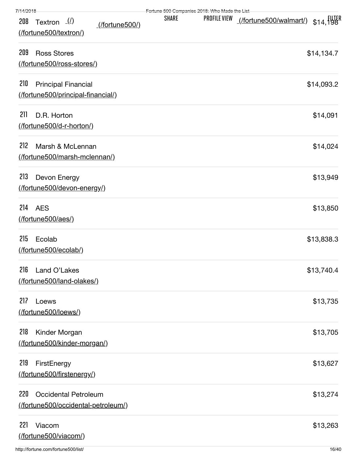|  | 7/14/2018 |  |  |
|--|-----------|--|--|
|  |           |  |  |

| 7/14/2018                                                                        |              | Fertune 500 Companies 2018: Who Made the List |            |
|----------------------------------------------------------------------------------|--------------|-----------------------------------------------|------------|
| Textron $($ <i>l</i> )<br>208<br><u>(/fortune500/)</u><br>(/fortune500/textron/) | <b>SHARE</b> | PROFILE VIEW                                  |            |
| 209<br><b>Ross Stores</b><br>(fortune500/ross-stores/)                           |              |                                               | \$14,134.7 |
| 210<br><b>Principal Financial</b><br>(fortune500/principal-financial/)           |              |                                               | \$14,093.2 |
| 211<br>D.R. Horton<br>(fortune500/d-r-horton/)                                   |              |                                               | \$14,091   |
| 212<br>Marsh & McLennan<br>(fortune500/marsh-mclennan/)                          |              |                                               | \$14,024   |
| 213<br>Devon Energy<br>(fortune500/devon-energy/)                                |              |                                               | \$13,949   |
| 214<br><b>AES</b><br>(/fortune500/aes/)                                          |              |                                               | \$13,850   |
| 215<br>Ecolab<br>(fortune500/ecolab/)                                            |              |                                               | \$13,838.3 |
| 216 Land O'Lakes<br>(fortune500/land-olakes/)                                    |              |                                               | \$13,740.4 |
| 217<br>Loews<br>(/fortune500/loews/)                                             |              |                                               | \$13,735   |
| 218<br>Kinder Morgan<br>(fortune500/kinder-morgan/)                              |              |                                               | \$13,705   |
| 219<br>FirstEnergy<br>(fortune500/firstenergy/)                                  |              |                                               | \$13,627   |
| 220<br><b>Occidental Petroleum</b><br>(fortune500/occidental-petroleum/)         |              |                                               | \$13,274   |
| 221<br>Viacom<br>(/fortune500/viacom/)                                           |              |                                               | \$13,263   |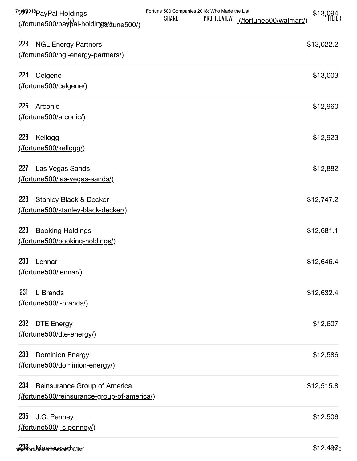| <sup>7/</sup> 222 <sup>018</sup> PayPal Holdings<br><u>(/fortune500/payoal-holdirgom/tune500/)</u> | Fortune 500 Companies 2018: Who Made the List<br><b>SHARE</b><br><b>PROFILE VIEW</b> | \$13,094<br>(/fortune500/walmart/) |
|----------------------------------------------------------------------------------------------------|--------------------------------------------------------------------------------------|------------------------------------|
| 223<br><b>NGL Energy Partners</b><br>(fortune500/ngl-energy-partners/)                             |                                                                                      | \$13,022.2                         |
| 224<br>Celgene<br>(fortune500/celgene/)                                                            |                                                                                      | \$13,003                           |
| 225<br>Arconic<br>(/fortune500/arconic/)                                                           |                                                                                      | \$12,960                           |
| 226<br>Kellogg<br>(/fortune500/kellogg/)                                                           |                                                                                      | \$12,923                           |
| 227<br>Las Vegas Sands<br>(fortune500/las-vegas-sands/)                                            |                                                                                      | \$12,882                           |
| 228<br><b>Stanley Black &amp; Decker</b><br>(fortune500/stanley-black-decker/)                     |                                                                                      | \$12,747.2                         |
| 229<br><b>Booking Holdings</b><br>(fortune500/booking-holdings/)                                   |                                                                                      | \$12,681.1                         |
| 230<br>Lennar<br>(/fortune500/lennar/)                                                             |                                                                                      | \$12,646.4                         |
| 231<br>L Brands<br>(fortune500/l-brands/)                                                          |                                                                                      | \$12,632.4                         |
| 232<br><b>DTE Energy</b><br>(fortune500/dte-energy/)                                               |                                                                                      | \$12,607                           |
| 233<br><b>Dominion Energy</b><br>(fortune500/dominion-energy/)                                     |                                                                                      | \$12,586                           |
| 234<br>Reinsurance Group of America<br>(fortune500/reinsurance-group-of-america/)                  |                                                                                      | \$12,515.8                         |
| 235<br>J.C. Penney<br>(/fortune500/j-c-penney/)                                                    |                                                                                      | \$12,506                           |
|                                                                                                    |                                                                                      |                                    |

h[ttp://fortune.com/fortune500/list/](http://fortune.com/fortune500/mastercard/) 17/40 236 Mastercard \$12,497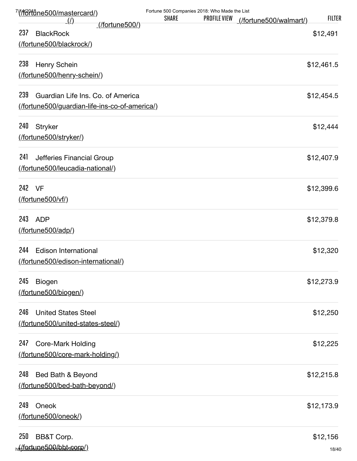| 7/f <del>60ft8ne500/mastercard/</del> )       |              | Fortune 500 Companies 2018: Who Made the List |                        |               |
|-----------------------------------------------|--------------|-----------------------------------------------|------------------------|---------------|
| <u>(/)</u><br>(/fortune500/)                  | <b>SHARE</b> | <b>PROFILE VIEW</b>                           | (/fortune500/walmart/) | <b>FILTER</b> |
| 237<br><b>BlackRock</b>                       |              |                                               |                        | \$12,491      |
| (fortune500/blackrock/)                       |              |                                               |                        |               |
| 238<br>Henry Schein                           |              |                                               |                        | \$12,461.5    |
| (fortune500/henry-schein/)                    |              |                                               |                        |               |
| 239<br>Guardian Life Ins. Co. of America      |              |                                               |                        | \$12,454.5    |
| (fortune500/guardian-life-ins-co-of-america/) |              |                                               |                        |               |
| 240<br><b>Stryker</b>                         |              |                                               |                        | \$12,444      |
| (fortune500/stryker/)                         |              |                                               |                        |               |
| 241<br>Jefferies Financial Group              |              |                                               |                        | \$12,407.9    |
| (fortune500/leucadia-national/)               |              |                                               |                        |               |
| 242<br>VF                                     |              |                                               |                        | \$12,399.6    |
| (/fortune500/vf/)                             |              |                                               |                        |               |
| 243<br><b>ADP</b>                             |              |                                               |                        | \$12,379.8    |
| (/fortune500/adp/)                            |              |                                               |                        |               |
| 244<br><b>Edison International</b>            |              |                                               |                        | \$12,320      |
| (/fortune500/edison-international/)           |              |                                               |                        |               |
| 245<br>Biogen                                 |              |                                               |                        | \$12,273.9    |
| (/fortune500/biogen/)                         |              |                                               |                        |               |
| 246<br><b>United States Steel</b>             |              |                                               |                        | \$12,250      |
| (fortune500/united-states-steel/)             |              |                                               |                        |               |
| 247<br><b>Core-Mark Holding</b>               |              |                                               |                        | \$12,225      |
| (fortune500/core-mark-holding/)               |              |                                               |                        |               |
| 248<br>Bed Bath & Beyond                      |              |                                               |                        | \$12,215.8    |
| (fortune500/bed-bath-beyond/)                 |              |                                               |                        |               |
| 249<br>Oneok                                  |              |                                               |                        | \$12,173.9    |
| (fortune500/oneok/)                           |              |                                               |                        |               |
| 250<br>BB&T Corp.                             |              |                                               |                        | \$12,156      |
| ht(fortune500/bht560rp/)                      |              |                                               |                        | 18/40         |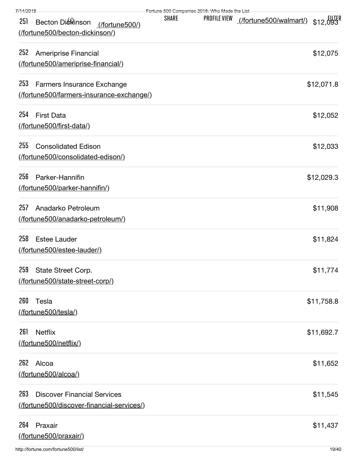| 7/14/2018                                                                              | Fortune 500 Companies 2018: Who Made the List |              |                                                     |            |
|----------------------------------------------------------------------------------------|-----------------------------------------------|--------------|-----------------------------------------------------|------------|
| 251<br>Becton Dickinson<br>(/fortune500/)<br>(fortune500/becton-dickinson/)            | <b>SHARE</b>                                  | PROFILE VIEW | <u>(/fortune500/walmart/)</u> \$12,093 <sup>R</sup> |            |
| 252<br>Ameriprise Financial<br>(fortune500/ameriprise-financial)                       |                                               |              |                                                     | \$12,075   |
| 253<br>Farmers Insurance Exchange<br>(fortune500/farmers-insurance-exchange/)          |                                               |              |                                                     | \$12,071.8 |
| 254<br><b>First Data</b><br>(fortune500/first-data/)                                   |                                               |              |                                                     | \$12,052   |
| 255<br><b>Consolidated Edison</b><br>(fortune500/consolidated-edison/)                 |                                               |              |                                                     | \$12,033   |
| 256<br>Parker-Hannifin<br>(fortune500/parker-hannifin/)                                |                                               |              |                                                     | \$12,029.3 |
| 257<br>Anadarko Petroleum<br>(/fortune500/anadarko-petroleum/)                         |                                               |              |                                                     | \$11,908   |
| 258<br><b>Estee Lauder</b><br>(fortune500/estee-lauder/)                               |                                               |              |                                                     | \$11,824   |
| 259 State Street Corp.<br>(fortune500/state-street-corp/)                              |                                               |              |                                                     | \$11,774   |
| 260<br>Tesla<br>(/fortune500/tesla/)                                                   |                                               |              |                                                     | \$11,758.8 |
| 261<br><b>Netflix</b><br>(/fortune500/netflix/)                                        |                                               |              |                                                     | \$11,692.7 |
| 262<br>Alcoa<br>(fortune500/alcoa/)                                                    |                                               |              |                                                     | \$11,652   |
| 263<br><b>Discover Financial Services</b><br>(fortune500/discover-financial-services/) |                                               |              |                                                     | \$11,545   |
| 264<br>Praxair<br>(/fortune500/praxair/)                                               |                                               |              |                                                     | \$11,437   |
| http://fortune.com/fortune500/list/                                                    |                                               |              |                                                     | 19/40      |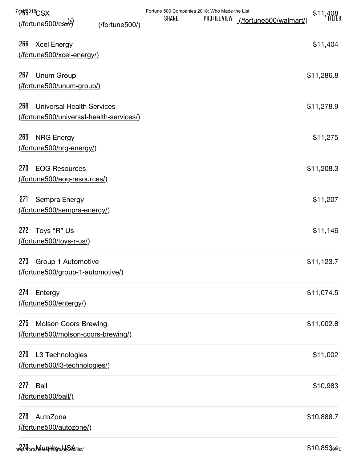| 7/200918CSX                                                                        | Fortune 500 Companies 2018: Who Made the List<br><b>SHARE</b><br><b>PROFILE VIEW</b> | \$11,408                  |
|------------------------------------------------------------------------------------|--------------------------------------------------------------------------------------|---------------------------|
| (/fortune500/cs <del>x</del> /)<br>(/fortune500/)                                  |                                                                                      | (/fortune500/walmart/)    |
| 266<br><b>Xcel Energy</b><br>(fortune500/xcel-energy/)                             |                                                                                      | \$11,404                  |
| 267<br>Unum Group<br>(fortune500/unum-group/)                                      |                                                                                      | \$11,286.8                |
| 268<br><b>Universal Health Services</b><br>(fortune500/universal-health-services/) |                                                                                      | \$11,278.9                |
| 269<br><b>NRG Energy</b><br>(fortune500/nrg-energy/)                               |                                                                                      | \$11,275                  |
| 270<br><b>EOG Resources</b><br>(fortune500/eog-resources/)                         |                                                                                      | \$11,208.3                |
| 271<br>Sempra Energy<br>(fortune500/sempra-energy/)                                |                                                                                      | \$11,207                  |
| 272<br>Toys "R" Us<br>(/fortune500/toys-r-us/)                                     |                                                                                      | \$11,146                  |
| 273<br>Group 1 Automotive<br>(fortune500/group-1-automotive/)                      |                                                                                      | \$11,123.7                |
| 274<br>Entergy<br>(/fortune500/entergy/)                                           |                                                                                      | \$11,074.5                |
| 275<br><b>Molson Coors Brewing</b><br>(fortune500/molson-coors-brewing/)           |                                                                                      | \$11,002.8                |
| 276<br>L3 Technologies<br>(fortune500/l3-technologies/)                            |                                                                                      | \$11,002                  |
| 277<br>Ball<br>(/fortune500/ball/)                                                 |                                                                                      | \$10,983                  |
| 278<br>AutoZone<br>(fortune500/autozone/)                                          |                                                                                      | \$10,888.7                |
| http://fortume.uspha.ytumb560/list/                                                |                                                                                      | $$10,853$ <sub>0</sub> 40 |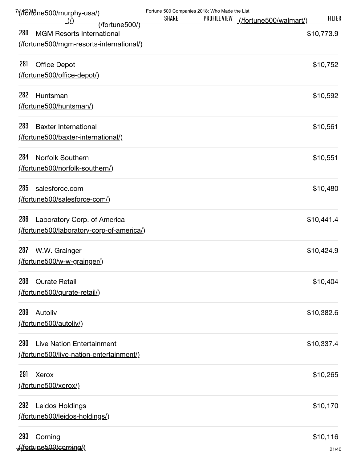| <u>7/(/f/oftåne500/murphy-usa/)</u>      | Fortune 500 Companies 2018: Who Made the List |              |                        |               |
|------------------------------------------|-----------------------------------------------|--------------|------------------------|---------------|
| _(/)<br>$($ fortune500 $/$               | <b>SHARE</b>                                  | PROFILE VIEW | (/fortune500/walmart/) | <b>FILTER</b> |
| 280<br><b>MGM Resorts International</b>  |                                               |              |                        | \$10,773.9    |
| (fortune500/mgm-resorts-international/)  |                                               |              |                        |               |
| 281<br><b>Office Depot</b>               |                                               |              |                        | \$10,752      |
| (fortune500/office-depot/)               |                                               |              |                        |               |
| 282<br>Huntsman                          |                                               |              |                        | \$10,592      |
| (fortune500/huntsman/)                   |                                               |              |                        |               |
| 283<br><b>Baxter International</b>       |                                               |              |                        | \$10,561      |
| (fortune500/baxter-international/)       |                                               |              |                        |               |
| 284<br><b>Norfolk Southern</b>           |                                               |              |                        | \$10,551      |
| (/fortune500/norfolk-southern/)          |                                               |              |                        |               |
| 285<br>salesforce.com                    |                                               |              |                        | \$10,480      |
| (fortune500/salesforce-com/)             |                                               |              |                        |               |
| 286<br>Laboratory Corp. of America       |                                               |              |                        | \$10,441.4    |
| (fortune500/laboratory-corp-of-america/) |                                               |              |                        |               |
| 287<br>W.W. Grainger                     |                                               |              |                        | \$10,424.9    |
| (/fortune500/w-w-grainger/)              |                                               |              |                        |               |
| 288<br><b>Qurate Retail</b>              |                                               |              |                        | \$10,404      |
| (fortune500/qurate-retail/)              |                                               |              |                        |               |
| 289<br>Autoliv                           |                                               |              |                        | \$10,382.6    |
| (/fortune500/autoliv/)                   |                                               |              |                        |               |
| 290<br><b>Live Nation Entertainment</b>  |                                               |              |                        | \$10,337.4    |
| (fortune500/live-nation-entertainment/)  |                                               |              |                        |               |
| 291<br><b>Xerox</b>                      |                                               |              |                        | \$10,265      |
| (/fortune500/xerox/)                     |                                               |              |                        |               |
| 292<br>Leidos Holdings                   |                                               |              |                        | \$10,170      |
| (fortune500/leidos-holdings/)            |                                               |              |                        |               |
| 293<br>Corning                           |                                               |              |                        | \$10,116      |
| ht(fortune500/corping()                  |                                               |              |                        | 21/40         |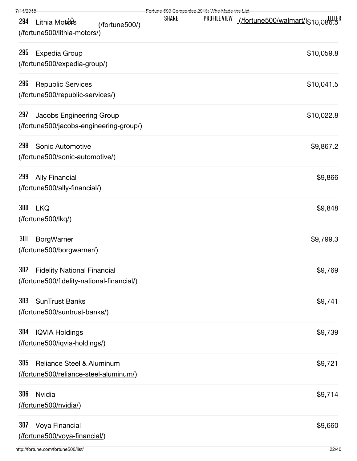| 7/14/2018                                                                             | Fertune 500 Companies 2018: Who Made the List |              |                                                        |
|---------------------------------------------------------------------------------------|-----------------------------------------------|--------------|--------------------------------------------------------|
| Lithia Motors<br>294<br>(/fortune500/)<br>(/fortune500/lithia-motors/)                | <b>SHARE</b>                                  | PROFILE VIEW | <u>_(/fortune500/walmart/)  รู <sub>10.08</sub>tll</u> |
| 295<br><b>Expedia Group</b><br>(fortune500/expedia-group/)                            |                                               |              | \$10,059.8                                             |
| 296<br><b>Republic Services</b><br>(fortune500/republic-services/)                    |                                               |              | \$10,041.5                                             |
| 297<br>Jacobs Engineering Group<br>(fortune500/jacobs-engineering-group/)             |                                               |              | \$10,022.8                                             |
| 298<br><b>Sonic Automotive</b><br>(fortune500/sonic-automotive/)                      |                                               |              | \$9,867.2                                              |
| 299<br><b>Ally Financial</b><br>(fortune500/ally-financial/)                          |                                               |              | \$9,866                                                |
| 300<br><b>LKQ</b><br>(/fortune500/lkq/)                                               |                                               |              | \$9,848                                                |
| 301<br><b>BorgWarner</b><br>(fortune500/borgwarner/)                                  |                                               |              | \$9,799.3                                              |
| 302 Fidelity National Financial<br>(fortune500/fidelity-national-financial/)          |                                               |              | \$9,769                                                |
| 303<br><b>SunTrust Banks</b><br>(/fortune500/suntrust-banks/)                         |                                               |              | \$9,741                                                |
| 304<br><b>IQVIA Holdings</b><br>(fortune500/iqvia-holdings/)                          |                                               |              | \$9,739                                                |
| 305<br><b>Reliance Steel &amp; Aluminum</b><br>(/fortune500/reliance-steel-aluminum/) |                                               |              | \$9,721                                                |
| 306<br><b>Nvidia</b><br>(/fortune500/nvidia/)                                         |                                               |              | \$9,714                                                |
| 307<br>Voya Financial<br>(fortune500/voya-financial/)                                 |                                               |              | \$9,660                                                |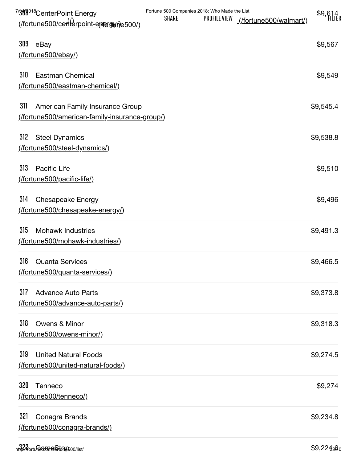| 7/308018 Center Point Energy                                                                    | Fortune 500 Companies 2018: Who Made the List |              |                        | \$9,614   |
|-------------------------------------------------------------------------------------------------|-----------------------------------------------|--------------|------------------------|-----------|
| (fortune500/centerpoint-entergy the 500)                                                        | <b>SHARE</b>                                  | PROFILE VIEW | (/fortune500/walmart/) |           |
| 309<br>eBay<br>$($ fortune500/ebay $/$                                                          |                                               |              |                        | \$9,567   |
| 310<br>Eastman Chemical<br>(/fortune500/eastman-chemical/)                                      |                                               |              |                        | \$9,549   |
| 311<br>American Family Insurance Group<br><u>(/fortune500/american-family-insurance-group/)</u> |                                               |              |                        | \$9,545.4 |
| 312<br><b>Steel Dynamics</b><br>(fortune500/steel-dynamics/)                                    |                                               |              |                        | \$9,538.8 |
| 313<br>Pacific Life<br>(fortune500/pacific-life/)                                               |                                               |              |                        | \$9,510   |
| 314<br><b>Chesapeake Energy</b><br>(fortune500/chesapeake-energy/)                              |                                               |              |                        | \$9,496   |
| 315<br><b>Mohawk Industries</b><br>(fortune500/mohawk-industries/)                              |                                               |              |                        | \$9,491.3 |
| 316<br><b>Quanta Services</b><br>(fortune500/quanta-services/)                                  |                                               |              |                        | \$9,466.5 |
| 317<br><b>Advance Auto Parts</b><br>(/fortune500/advance-auto-parts/)                           |                                               |              |                        | \$9,373.8 |
| 318<br>Owens & Minor<br><u>(/fortune500/owens-minor/)</u>                                       |                                               |              |                        | \$9,318.3 |
| 319<br><b>United Natural Foods</b><br>(fortune500/united-natural-foods/)                        |                                               |              |                        | \$9,274.5 |
| 320<br><b>Tenneco</b><br>(/fortune500/tenneco/)                                                 |                                               |              |                        | \$9,274   |
| 321<br>Conagra Brands<br>(fortune500/conagra-brands/)                                           |                                               |              |                        | \$9,234.8 |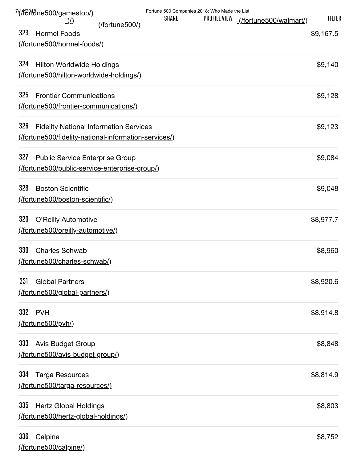| <u>///fortåne500/gamestop/)</u><br><u>(/)</u>                                                                | <b>SHARE</b> | Fortune 500 Companies 2018: Who Made the List<br><b>PROFILE VIEW</b> | (/fortune500/walmart/) | <b>FILTER</b> |
|--------------------------------------------------------------------------------------------------------------|--------------|----------------------------------------------------------------------|------------------------|---------------|
| <u>(/fortune500/)</u><br>323<br><b>Hormel Foods</b>                                                          |              |                                                                      |                        | \$9,167.5     |
| (fortune500/hormel-foods/)                                                                                   |              |                                                                      |                        |               |
| 324<br><b>Hilton Worldwide Holdings</b><br>(fortune500/hilton-worldwide-holdings/)                           |              |                                                                      |                        | \$9,140       |
| 325<br><b>Frontier Communications</b><br>(fortune500/frontier-communications/)                               |              |                                                                      |                        | \$9,128       |
| 326<br><b>Fidelity National Information Services</b><br>(fortune500/fidelity-national-information-services/) |              |                                                                      |                        | \$9,123       |
| 327<br><b>Public Service Enterprise Group</b><br>(fortune500/public-service-enterprise-group/)               |              |                                                                      |                        | \$9,084       |
| 328<br><b>Boston Scientific</b><br>(fortune500/boston-scientific/)                                           |              |                                                                      |                        | \$9,048       |
| 329<br>O'Reilly Automotive<br>(fortune500/oreilly-automotive/)                                               |              |                                                                      |                        | \$8,977.7     |
| 330<br><b>Charles Schwab</b><br>(fortune500/charles-schwab/)                                                 |              |                                                                      |                        | \$8,960       |
| 331<br><b>Global Partners</b><br>(fortune500/global-partners/)                                               |              |                                                                      |                        | \$8,920.6     |
| 332<br><b>PVH</b><br>(/fortune500/pvh/)                                                                      |              |                                                                      |                        | \$8,914.8     |
| 333<br>Avis Budget Group<br>(fortune500/avis-budget-group/)                                                  |              |                                                                      |                        | \$8,848       |
| 334<br><b>Targa Resources</b><br>(fortune500/targa-resources/)                                               |              |                                                                      |                        | \$8,814.9     |
| 335<br><b>Hertz Global Holdings</b><br>(fortune500/hertz-global-holdings/)                                   |              |                                                                      |                        | \$8,803       |
| 336<br>Calpine                                                                                               |              |                                                                      |                        | \$8,752       |

http://fortune.com/fortune500/list/ 24/40 [\(/fortune500/calpine/\)](http://fortune.com/fortune500/calpine/)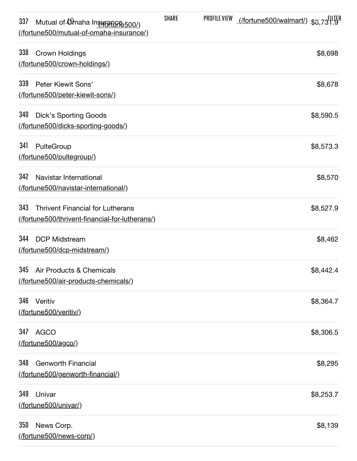| 337<br>Mutual of Omaha Insurance 500/)<br>(fortune500/mutual-of-omaha-insurance/)                | <b>SHARE</b> | PROFILE VIEW | <u>(/fortune500/walmart/)</u> \$8,73 <sup>5</sup> |
|--------------------------------------------------------------------------------------------------|--------------|--------------|---------------------------------------------------|
| 338<br>Crown Holdings<br>(fortune500/crown-holdings/)                                            |              |              | \$8,698                                           |
| 339<br>Peter Kiewit Sons'<br>(fortune500/peter-kiewit-sons/)                                     |              |              | \$8,678                                           |
| 340<br><b>Dick's Sporting Goods</b><br>(fortune500/dicks-sporting-goods/)                        |              |              | \$8,590.5                                         |
| 341<br>PulteGroup<br>(/fortune500/pultegroup/)                                                   |              |              | \$8,573.3                                         |
| 342<br>Navistar International<br>(fortune500/navistar-international/)                            |              |              | \$8,570                                           |
| 343<br><b>Thrivent Financial for Lutherans</b><br>(fortune500/thrivent-financial-for-lutherans/) |              |              | \$8,527.9                                         |
| 344<br><b>DCP Midstream</b><br>(/fortune500/dcp-midstream/)                                      |              |              | \$8,462                                           |
| 345<br>Air Products & Chemicals<br>(fortune500/air-products-chemicals/)                          |              |              | \$8,442.4                                         |
| 346<br>Veritiv<br>(/fortune500/veritiv/)                                                         |              |              | \$8,364.7                                         |
| 347<br><b>AGCO</b><br>(fortune500/agco/)                                                         |              |              | \$8,306.5                                         |
| 348<br><b>Genworth Financial</b><br>(/fortune500/genworth-financial/)                            |              |              | \$8,295                                           |
| 349<br>Univar<br>(/fortune500/univar/)                                                           |              |              | \$8,253.7                                         |
| 350<br>News Corp.<br>(fortune500/news-corp/)                                                     |              |              | \$8,139                                           |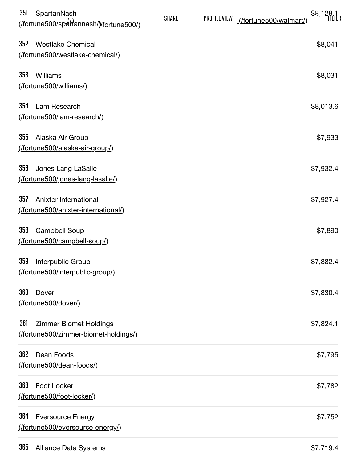| 351<br>SpartanNash<br><u>(/fortune500/spartannash/@/fortune500/)</u>         | <b>SHARE</b> | <b>PROFILE VIEW</b> | \$8,128.<br>(/fortune500/walmart/) |
|------------------------------------------------------------------------------|--------------|---------------------|------------------------------------|
| 352<br><b>Westlake Chemical</b><br>(fortune500/westlake-chemical/)           |              |                     | \$8,041                            |
| 353<br>Williams<br>(fortune500/williams/)                                    |              |                     | \$8,031                            |
| 354<br>Lam Research<br>(fortune500/lam-research/)                            |              |                     | \$8,013.6                          |
| 355<br>Alaska Air Group<br><u>(/fortune500/alaska-air-group/)</u>            |              |                     | \$7,933                            |
| 356<br>Jones Lang LaSalle<br>(fortune500/jones-lang-lasalle/)                |              |                     | \$7,932.4                          |
| 357<br>Anixter International<br>(fortune500/anixter-international/)          |              |                     | \$7,927.4                          |
| 358<br><b>Campbell Soup</b><br>(fortune500/campbell-soup/)                   |              |                     | \$7,890                            |
| 359<br>Interpublic Group<br>(/fortune500/interpublic-group/)                 |              |                     | \$7,882.4                          |
| 360<br>Dover<br>(fortune500/dover/)                                          |              |                     | \$7,830.4                          |
| 361<br><b>Zimmer Biomet Holdings</b><br>(fortune500/zimmer-biomet-holdings/) |              |                     | \$7,824.1                          |
| 362<br>Dean Foods<br>(fortune500/dean-foods/)                                |              |                     | \$7,795                            |
| 363<br><b>Foot Locker</b><br>(fortune500/foot-locker/)                       |              |                     | \$7,782                            |
| 364<br><b>Eversource Energy</b><br>(fortune500/eversource-energy/)           |              |                     | \$7,752                            |
|                                                                              |              |                     |                                    |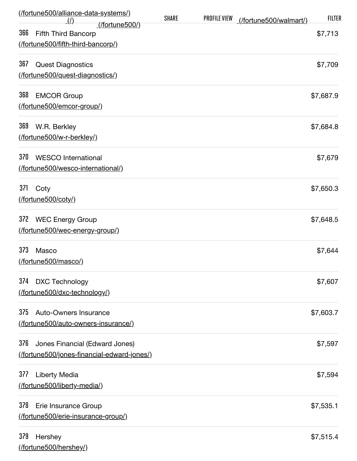| (fortune500/alliance-data-systems/)<br>_(/)         | <b>SHARE</b> | <b>PROFILE VIEW</b> | (/fortune500/walmart/) | <b>FILTER</b> |
|-----------------------------------------------------|--------------|---------------------|------------------------|---------------|
| (/fortune500/)<br>366<br><b>Fifth Third Bancorp</b> |              |                     |                        | \$7,713       |
| (/fortune500/fifth-third-bancorp/)                  |              |                     |                        |               |
| 367<br><b>Quest Diagnostics</b>                     |              |                     |                        | \$7,709       |
| (fortune500/quest-diagnostics/)                     |              |                     |                        |               |
| 368<br><b>EMCOR Group</b>                           |              |                     |                        | \$7,687.9     |
| (fortune500/emcor-group/)                           |              |                     |                        |               |
| 369<br>W.R. Berkley                                 |              |                     |                        | \$7,684.8     |
| (fortune500/w-r-berkley/)                           |              |                     |                        |               |
| 370<br><b>WESCO</b> International                   |              |                     |                        | \$7,679       |
| (fortune500/wesco-international/)                   |              |                     |                        |               |
| 371<br>Coty                                         |              |                     |                        | \$7,650.3     |
| (/fortune500/coty/)                                 |              |                     |                        |               |
| 372<br><b>WEC Energy Group</b>                      |              |                     |                        | \$7,648.5     |
| (fortune500/wec-energy-group/)                      |              |                     |                        |               |
| 373<br>Masco                                        |              |                     |                        | \$7,644       |
| (fortune500/masco/)                                 |              |                     |                        |               |
| 374<br><b>DXC Technology</b>                        |              |                     |                        | \$7,607       |
| (fortune500/dxc-technology/)                        |              |                     |                        |               |
| 375<br>Auto-Owners Insurance                        |              |                     |                        | \$7,603.7     |
| (fortune500/auto-owners-insurance/)                 |              |                     |                        |               |
| 376<br>Jones Financial (Edward Jones)               |              |                     |                        | \$7,597       |
| (fortune500/jones-financial-edward-jones/)          |              |                     |                        |               |
| 377<br><b>Liberty Media</b>                         |              |                     |                        | \$7,594       |
| (fortune500/liberty-media/)                         |              |                     |                        |               |
| 378<br>Erie Insurance Group                         |              |                     |                        | \$7,535.1     |
| (fortune500/erie-insurance-group/)                  |              |                     |                        |               |
| 379<br>Hershey                                      |              |                     |                        | \$7,515.4     |
| (fortune500/hershey/)                               |              |                     |                        |               |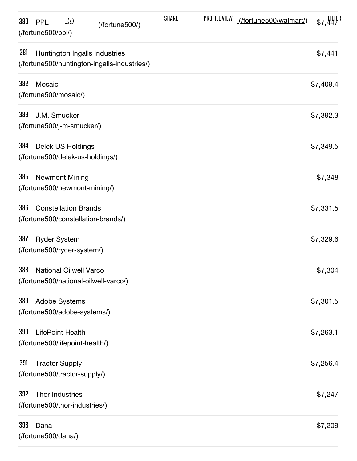| $\Box$ ( $\Box$ )<br>380<br><b>PPL</b><br>(/fortune500/)<br>$($ /fortune500/ppl/ $)$ | <b>SHARE</b> | <b>PROFILE VIEW</b> | (/fortune500/walmart/) | \$7,447   |
|--------------------------------------------------------------------------------------|--------------|---------------------|------------------------|-----------|
| 381<br>Huntington Ingalls Industries<br>(fortune500/huntington-ingalls-industries/)  |              |                     |                        | \$7,441   |
| 382<br>Mosaic<br>(/fortune500/mosaic/)                                               |              |                     |                        | \$7,409.4 |
| 383<br>J.M. Smucker<br><u>(/fortune500/j-m-smucker/)</u>                             |              |                     |                        | \$7,392.3 |
| 384<br><b>Delek US Holdings</b><br>(fortune500/delek-us-holdings/)                   |              |                     |                        | \$7,349.5 |
| 385<br><b>Newmont Mining</b><br>(fortune500/newmont-mining/)                         |              |                     |                        | \$7,348   |
| 386<br><b>Constellation Brands</b><br>(fortune500/constellation-brands/)             |              |                     |                        | \$7,331.5 |
| 387<br><b>Ryder System</b><br>(fortune500/ryder-system/)                             |              |                     |                        | \$7,329.6 |
| 388<br><b>National Oilwell Varco</b><br>(fortune500/national-oilwell-varco/)         |              |                     |                        | \$7,304   |
| 389<br><b>Adobe Systems</b><br>(/fortune500/adobe-systems/)                          |              |                     |                        | \$7,301.5 |
| 390<br><b>LifePoint Health</b><br>(/fortune500/lifepoint-health/)                    |              |                     |                        | \$7,263.1 |
| 391<br><b>Tractor Supply</b><br>(fortune500/tractor-supply/)                         |              |                     |                        | \$7,256.4 |
| 392<br>Thor Industries<br>(fortune500/thor-industries/)                              |              |                     |                        | \$7,247   |
| 393<br>Dana<br>(/fortune500/dana/)                                                   |              |                     |                        | \$7,209   |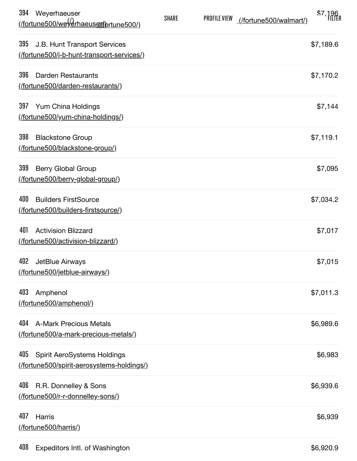| 394 | Weyerhaeuser<br><u>(/fortune500/weVerhaeusqt/brtune500/)</u>                     | <b>SHARE</b> | <b>PROFILE VIEW</b> | (/fortune500/walmart/) | \$7,196   |
|-----|----------------------------------------------------------------------------------|--------------|---------------------|------------------------|-----------|
| 395 | J.B. Hunt Transport Services<br>(fortune500/j-b-hunt-transport-services/)        |              |                     |                        | \$7,189.6 |
| 396 | <b>Darden Restaurants</b><br>(fortune500/darden-restaurants/)                    |              |                     |                        | \$7,170.2 |
| 397 | Yum China Holdings<br>(fortune500/yum-china-holdings/)                           |              |                     |                        | \$7,144   |
| 398 | <b>Blackstone Group</b><br>(fortune500/blackstone-group/)                        |              |                     |                        | \$7,119.1 |
| 399 | Berry Global Group<br>(fortune500/berry-global-group/)                           |              |                     |                        | \$7,095   |
| 400 | <b>Builders FirstSource</b><br>(/fortune500/builders-firstsource/)               |              |                     |                        | \$7,034.2 |
| 401 | <b>Activision Blizzard</b><br>(fortune500/activision-blizzard/)                  |              |                     |                        | \$7,017   |
| 402 | JetBlue Airways<br><u>(/fortune500/jetblue-airways/)</u>                         |              |                     |                        | \$7,015   |
| 403 | Amphenol<br>(fortune500/amphenol/)                                               |              |                     |                        | \$7,011.3 |
| 404 | <b>A-Mark Precious Metals</b><br>(fortune500/a-mark-precious-metals/)            |              |                     |                        | \$6,989.6 |
| 405 | Spirit AeroSystems Holdings<br><u>(/fortune500/spirit-aerosystems-holdings/)</u> |              |                     |                        | \$6,983   |
| 406 | R.R. Donnelley & Sons<br>(fortune500/r-r-donnelley-sons/)                        |              |                     |                        | \$6,939.6 |
| 407 | <b>Harris</b><br>(fortune500/harris/)                                            |              |                     |                        | \$6,939   |
|     |                                                                                  |              |                     |                        |           |

408 [Expeditors Intl. of Washington](http://fortune.com/fortune500/expeditors-intl-of-washington/)  $$6,920.9$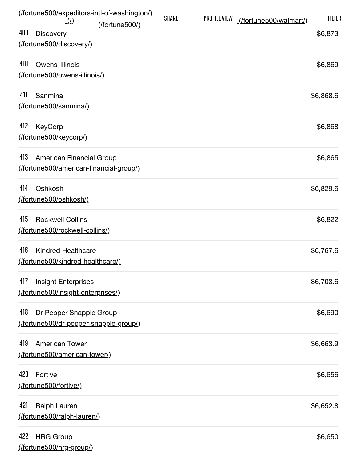| (fortune500/expeditors-intl-of-washington/)                       | <b>SHARE</b> | <b>PROFILE VIEW</b> | (/fortune500/walmart/) | <b>FILTER</b> |
|-------------------------------------------------------------------|--------------|---------------------|------------------------|---------------|
| $\mathcal{L}(t)$<br>$($ fortune500 $/$<br>409<br><b>Discovery</b> |              |                     |                        | \$6,873       |
| (fortune500/discovery/)                                           |              |                     |                        |               |
| 410<br>Owens-Illinois                                             |              |                     |                        | \$6,869       |
| (fortune500/owens-illinois/)                                      |              |                     |                        |               |
| 411<br>Sanmina                                                    |              |                     |                        | \$6,868.6     |
| (fortune500/sanmina/)                                             |              |                     |                        |               |
| 412<br>KeyCorp                                                    |              |                     |                        | \$6,868       |
| (fortune500/keycorp/)                                             |              |                     |                        |               |
| 413<br>American Financial Group                                   |              |                     |                        | \$6,865       |
| (fortune500/american-financial-group/)                            |              |                     |                        |               |
| 414<br>Oshkosh                                                    |              |                     |                        | \$6,829.6     |
| (fortune500/oshkosh/)                                             |              |                     |                        |               |
| 415<br><b>Rockwell Collins</b>                                    |              |                     |                        | \$6,822       |
| (fortune500/rockwell-collins/)                                    |              |                     |                        |               |
| 416<br><b>Kindred Healthcare</b>                                  |              |                     |                        | \$6,767.6     |
| (fortune500/kindred-healthcare/)                                  |              |                     |                        |               |
| 417<br><b>Insight Enterprises</b>                                 |              |                     |                        | \$6,703.6     |
| (fortune500/insight-enterprises/)                                 |              |                     |                        |               |
| 418<br>Dr Pepper Snapple Group                                    |              |                     |                        | \$6,690       |
| (fortune500/dr-pepper-snapple-group/)                             |              |                     |                        |               |
| 419<br><b>American Tower</b>                                      |              |                     |                        | \$6,663.9     |
| (fortune500/american-tower/)                                      |              |                     |                        |               |
| 420<br>Fortive                                                    |              |                     |                        | \$6,656       |
| (fortune500/fortive/)                                             |              |                     |                        |               |
| 421<br>Ralph Lauren                                               |              |                     |                        | \$6,652.8     |
| (fortune500/ralph-lauren/)                                        |              |                     |                        |               |
| 422<br><b>HRG Group</b>                                           |              |                     |                        | \$6,650       |
| (fortune500/hrg-group/)                                           |              |                     |                        |               |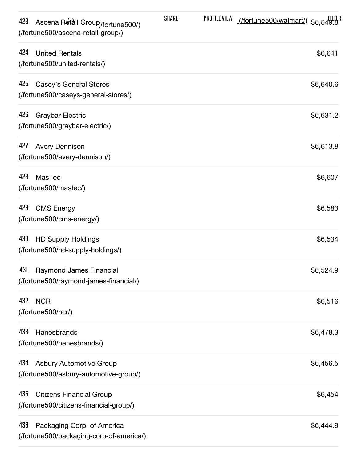| 423<br>Ascena Retail Groun (fortune 500/)<br>(fortune500/ascena-retail-group/)   | <b>SHARE</b> | PROFILE VIEW | <u>(/fortune500/walmart/)</u> \$6,849.8 |           |
|----------------------------------------------------------------------------------|--------------|--------------|-----------------------------------------|-----------|
| 424<br><b>United Rentals</b><br>(/fortune500/united-rentals/)                    |              |              |                                         | \$6,641   |
| 425<br><b>Casey's General Stores</b><br>(fortune500/caseys-general-stores/)      |              |              |                                         | \$6,640.6 |
| 426<br>Graybar Electric<br>(fortune500/graybar-electric/)                        |              |              |                                         | \$6,631.2 |
| 427<br><b>Avery Dennison</b><br>(fortune500/avery-dennison/)                     |              |              |                                         | \$6,613.8 |
| 428<br><b>MasTec</b><br>(fortune500/mastec/)                                     |              |              |                                         | \$6,607   |
| 429<br><b>CMS Energy</b><br>(/fortune500/cms-energy/)                            |              |              |                                         | \$6,583   |
| 430<br><b>HD Supply Holdings</b><br>(fortune500/hd-supply-holdings/)             |              |              |                                         | \$6,534   |
| 431<br>Raymond James Financial<br>(fortune500/raymond-james-financial/)          |              |              |                                         | \$6,524.9 |
| 432<br><b>NCR</b><br>(/fortune500/ncr/)                                          |              |              |                                         | \$6,516   |
| 433<br>Hanesbrands<br>(fortune500/hanesbrands/)                                  |              |              |                                         | \$6,478.3 |
| 434<br><b>Asbury Automotive Group</b><br>(fortune500/asbury-automotive-group/)   |              |              |                                         | \$6,456.5 |
| 435<br><b>Citizens Financial Group</b><br>(fortune500/citizens-financial-group/) |              |              |                                         | \$6,454   |
| 436<br>Packaging Corp. of America<br>(fortune500/packaging-corp-of-america/)     |              |              |                                         | \$6,444.9 |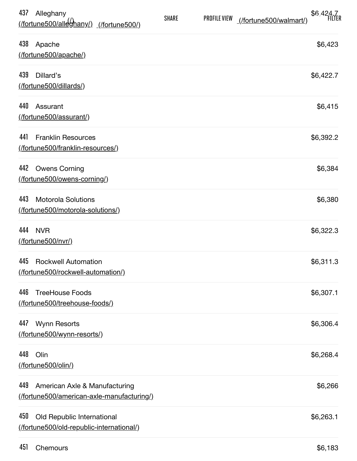| 437<br>Alleghany<br><u>(/fortune500/alleghany/) (/fortune500/)</u>                | <b>SHARE</b> | <b>PROFILE VIEW</b> | (/fortune500/walmart/) | \$6,424.7<br>FILTER |
|-----------------------------------------------------------------------------------|--------------|---------------------|------------------------|---------------------|
| 438<br>Apache<br>(fortune500/apache/)                                             |              |                     |                        | \$6,423             |
| 439<br>Dillard's<br>(/fortune500/dillards/)                                       |              |                     |                        | \$6,422.7           |
| 440<br>Assurant<br>(fortune500/assurant/)                                         |              |                     |                        | \$6,415             |
| 441<br><b>Franklin Resources</b><br>(fortune500/franklin-resources/)              |              |                     |                        | \$6,392.2           |
| 442<br><b>Owens Corning</b><br>(fortune500/owens-corning/)                        |              |                     |                        | \$6,384             |
| 443<br><b>Motorola Solutions</b><br>(fortune500/motorola-solutions/)              |              |                     |                        | \$6,380             |
| 444<br><b>NVR</b><br>(/fortune500/nvr/)                                           |              |                     |                        | \$6,322.3           |
| 445<br><b>Rockwell Automation</b><br>(/fortune500/rockwell-automation/)           |              |                     |                        | \$6,311.3           |
| 446<br><b>TreeHouse Foods</b><br>(fortune500/treehouse-foods/)                    |              |                     |                        | \$6,307.1           |
| 447<br><b>Wynn Resorts</b><br>(fortune500/wynn-resorts/)                          |              |                     |                        | \$6,306.4           |
| 448<br>Olin<br>(/fortune500/olin/)                                                |              |                     |                        | \$6,268.4           |
| 449<br>American Axle & Manufacturing<br>(fortune500/american-axle-manufacturing/) |              |                     |                        | \$6,266             |
| 450<br>Old Republic International<br>(fortune500/old-republic-international/)     |              |                     |                        | \$6,263.1           |
|                                                                                   |              |                     |                        |                     |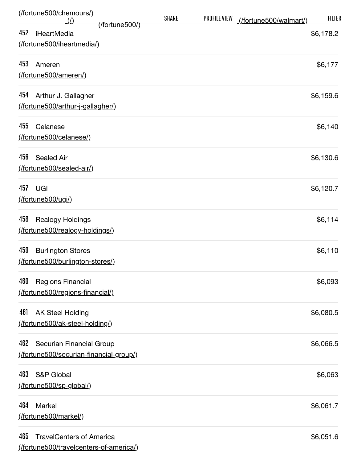| (fortune500/chemours/)<br>$\left(\frac{\mu}{\mu}\right)$ |                       | <b>SHARE</b> | <b>PROFILE VIEW</b> | (/fortune500/walmart/) | <b>FILTER</b> |
|----------------------------------------------------------|-----------------------|--------------|---------------------|------------------------|---------------|
| 452<br>iHeartMedia                                       | <u>(/fortune500/)</u> |              |                     |                        | \$6,178.2     |
| (/fortune500/iheartmedia/)                               |                       |              |                     |                        |               |
| 453<br>Ameren                                            |                       |              |                     |                        | \$6,177       |
| (/fortune500/ameren/)                                    |                       |              |                     |                        |               |
| 454<br>Arthur J. Gallagher                               |                       |              |                     |                        | \$6,159.6     |
| (fortune500/arthur-j-gallagher/)                         |                       |              |                     |                        |               |
| 455<br>Celanese                                          |                       |              |                     |                        | \$6,140       |
| (fortune500/celanese/)                                   |                       |              |                     |                        |               |
| 456<br><b>Sealed Air</b>                                 |                       |              |                     |                        | \$6,130.6     |
| (/fortune500/sealed-air/)                                |                       |              |                     |                        |               |
| 457<br>UGI                                               |                       |              |                     |                        | \$6,120.7     |
| (/fortune500/ugi/)                                       |                       |              |                     |                        |               |
| 458<br><b>Realogy Holdings</b>                           |                       |              |                     |                        | \$6,114       |
| (fortune500/realogy-holdings/)                           |                       |              |                     |                        |               |
| 459<br><b>Burlington Stores</b>                          |                       |              |                     |                        | \$6,110       |
| (/fortune500/burlington-stores/)                         |                       |              |                     |                        |               |
| 460<br><b>Regions Financial</b>                          |                       |              |                     |                        | \$6,093       |
| (/fortune500/regions-financial/)                         |                       |              |                     |                        |               |
| 461<br><b>AK Steel Holding</b>                           |                       |              |                     |                        | \$6,080.5     |
| (fortune500/ak-steel-holding/)                           |                       |              |                     |                        |               |
| 462<br>Securian Financial Group                          |                       |              |                     |                        | \$6,066.5     |
| (fortune500/securian-financial-group/)                   |                       |              |                     |                        |               |
| 463<br><b>S&amp;P Global</b>                             |                       |              |                     |                        | \$6,063       |
| (fortune500/sp-global/)                                  |                       |              |                     |                        |               |
| 464<br>Markel                                            |                       |              |                     |                        | \$6,061.7     |
| (/fortune500/markel/)                                    |                       |              |                     |                        |               |
| 465<br><b>TravelCenters of America</b>                   |                       |              |                     |                        | \$6,051.6     |
| (fortune500/travelcenters-of-america/)                   |                       |              |                     |                        |               |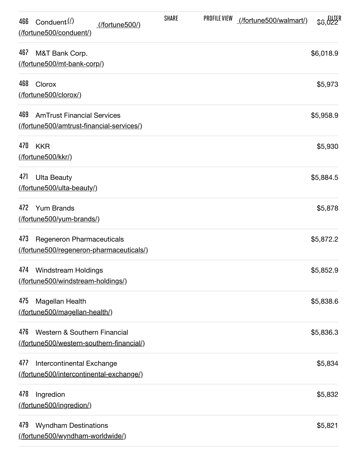| Conduent $(2)$<br>466<br>(/fortune500/)<br>(/fortune500/conduent/)                   | <b>SHARE</b> | PROFILE VIEW | (/fortune500/walmart/) | \$8.022   |
|--------------------------------------------------------------------------------------|--------------|--------------|------------------------|-----------|
| 467<br>M&T Bank Corp.<br>(fortune500/mt-bank-corp/)                                  |              |              |                        | \$6,018.9 |
| 468<br>Clorox<br>(/fortune500/clorox/)                                               |              |              |                        | \$5,973   |
| 469<br><b>AmTrust Financial Services</b><br>(fortune500/amtrust-financial-services/) |              |              |                        | \$5,958.9 |
| 470<br><b>KKR</b><br>(/fortune500/kkr/)                                              |              |              |                        | \$5,930   |
| 471<br><b>Ulta Beauty</b><br>(/fortune500/ulta-beauty/)                              |              |              |                        | \$5,884.5 |
| 472<br><b>Yum Brands</b><br>(fortune500/yum-brands/)                                 |              |              |                        | \$5,878   |
| 473<br><b>Regeneron Pharmaceuticals</b><br>(fortune500/regeneron-pharmaceuticals/)   |              |              |                        | \$5,872.2 |
| 474<br><b>Windstream Holdings</b><br>(/fortune500/windstream-holdings/)              |              |              |                        | \$5,852.9 |
| 475<br><b>Magellan Health</b><br>(fortune500/magellan-health/)                       |              |              |                        | \$5,838.6 |
| 476<br>Western & Southern Financial<br>(fortune500/western-southern-financial/)      |              |              |                        | \$5,836.3 |
| 477<br>Intercontinental Exchange<br>(fortune500/intercontinental-exchange/)          |              |              |                        | \$5,834   |
| 478<br>Ingredion<br>(/fortune500/ingredion/)                                         |              |              |                        | \$5,832   |
| 479<br><b>Wyndham Destinations</b><br>(/fortune500/wyndham-worldwide/)               |              |              |                        | \$5,821   |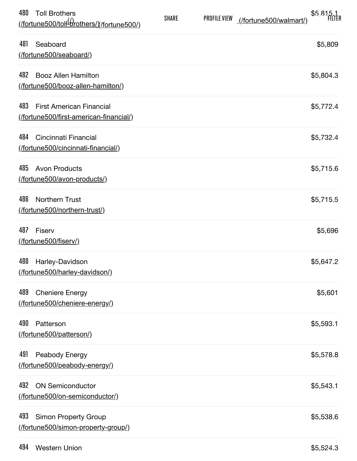| 480<br><b>Toll Brothers</b><br><u>(/fortune500/tol<del>l</del><sup>(/</sup>drothers/)(/fortune500/)</u> | <b>SHARE</b> | PROFILE VIEW | (/fortune500/walmart/) | \$5,815.1 |
|---------------------------------------------------------------------------------------------------------|--------------|--------------|------------------------|-----------|
| 481<br>Seaboard<br>(/fortune500/seaboard/)                                                              |              |              |                        | \$5,809   |
| 482<br><b>Booz Allen Hamilton</b><br>(fortune500/booz-allen-hamilton/)                                  |              |              |                        | \$5,804.3 |
| 483<br><b>First American Financial</b><br>(/fortune500/first-american-financial/)                       |              |              |                        | \$5,772.4 |
| 484<br>Cincinnati Financial<br>(/fortune500/cincinnati-financial/)                                      |              |              |                        | \$5,732.4 |
| 485<br><b>Avon Products</b><br>(fortune500/avon-products/)                                              |              |              |                        | \$5,715.6 |
| 486<br><b>Northern Trust</b><br>(/fortune500/northern-trust/)                                           |              |              |                        | \$5,715.5 |
| 487<br>Fiserv<br>(/fortune500/fiserv/)                                                                  |              |              |                        | \$5,696   |
| 488<br>Harley-Davidson<br><u>(fortune500/harley-davidson/)</u>                                          |              |              |                        | \$5,647.2 |
| 489<br><b>Cheniere Energy</b><br>(fortune500/cheniere-energy/)                                          |              |              |                        | \$5,601   |
| 490<br>Patterson<br>(fortune500/patterson/)                                                             |              |              |                        | \$5,593.1 |
| 491<br>Peabody Energy<br>(fortune500/peabody-energy/)                                                   |              |              |                        | \$5,578.8 |
| 492<br><b>ON Semiconductor</b><br>(fortune500/on-semiconductor/)                                        |              |              |                        | \$5,543.1 |
| 493<br><b>Simon Property Group</b><br>(fortune500/simon-property-group/)                                |              |              |                        | \$5,538.6 |
|                                                                                                         |              |              |                        |           |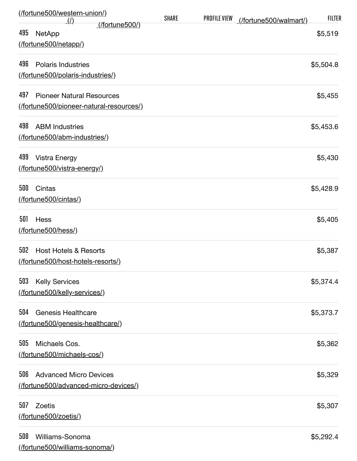| (fortune500/western-union/)<br>$\mathcal{L}(I)$ |                       | <b>SHARE</b> | <b>PROFILE VIEW</b> | (/fortune500/walmart/) | <b>FILTER</b> |
|-------------------------------------------------|-----------------------|--------------|---------------------|------------------------|---------------|
| 495<br><b>NetApp</b>                            | <u>(/fortune500/)</u> |              |                     |                        | \$5,519       |
| (fortune500/netapp/)                            |                       |              |                     |                        |               |
| 496<br><b>Polaris Industries</b>                |                       |              |                     |                        | \$5,504.8     |
| (fortune500/polaris-industries/)                |                       |              |                     |                        |               |
| 497<br><b>Pioneer Natural Resources</b>         |                       |              |                     |                        | \$5,455       |
| (fortune500/pioneer-natural-resources/)         |                       |              |                     |                        |               |
| 498<br><b>ABM Industries</b>                    |                       |              |                     |                        | \$5,453.6     |
| (fortune500/abm-industries/)                    |                       |              |                     |                        |               |
| 499<br><b>Vistra Energy</b>                     |                       |              |                     |                        | \$5,430       |
| (fortune500/vistra-energy/)                     |                       |              |                     |                        |               |
| 500<br>Cintas                                   |                       |              |                     |                        | \$5,428.9     |
| (/fortune500/cintas/)                           |                       |              |                     |                        |               |
| 501<br>Hess                                     |                       |              |                     |                        | \$5,405       |
| (/fortune500/hess/)                             |                       |              |                     |                        |               |
| 502<br><b>Host Hotels &amp; Resorts</b>         |                       |              |                     |                        | \$5,387       |
| (/fortune500/host-hotels-resorts/)              |                       |              |                     |                        |               |
| 503<br><b>Kelly Services</b>                    |                       |              |                     |                        | \$5,374.4     |
| (fortune500/kelly-services/)                    |                       |              |                     |                        |               |
| 504<br><b>Genesis Healthcare</b>                |                       |              |                     |                        | \$5,373.7     |
| (fortune500/genesis-healthcare/)                |                       |              |                     |                        |               |
| 505<br>Michaels Cos.                            |                       |              |                     |                        | \$5,362       |
| (fortune500/michaels-cos/)                      |                       |              |                     |                        |               |
| 506<br><b>Advanced Micro Devices</b>            |                       |              |                     |                        | \$5,329       |
| (fortune500/advanced-micro-devices/)            |                       |              |                     |                        |               |
| 507<br>Zoetis                                   |                       |              |                     |                        | \$5,307       |
| (/fortune500/zoetis/)                           |                       |              |                     |                        |               |
| 508<br>Williams-Sonoma                          |                       |              |                     |                        | \$5,292.4     |
| (fortune500/williams-sonoma/)                   |                       |              |                     |                        |               |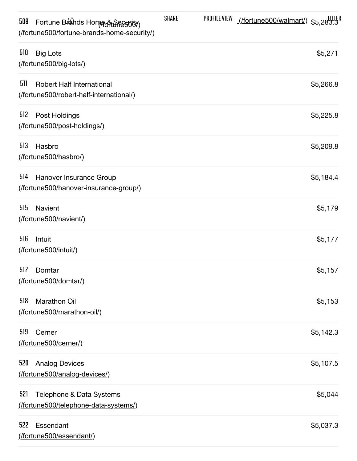| Fortune Brahds Home & Section<br>509<br>(/fortune500/fortune-brands-home-security/) | <b>SHARE</b> | PROFILE VIEW | filter// <u>fortune500/walmart/)</u> \$5,283.3 |           |
|-------------------------------------------------------------------------------------|--------------|--------------|------------------------------------------------|-----------|
| 510<br><b>Big Lots</b><br>(/fortune500/big-lots/)                                   |              |              |                                                | \$5,271   |
| 511<br><b>Robert Half International</b><br>(fortune500/robert-half-international/)  |              |              |                                                | \$5,266.8 |
| 512<br>Post Holdings<br>(fortune500/post-holdings/)                                 |              |              |                                                | \$5,225.8 |
| 513<br>Hasbro<br>(/fortune500/hasbro/)                                              |              |              |                                                | \$5,209.8 |
| 514<br>Hanover Insurance Group<br>(fortune500/hanover-insurance-group/)             |              |              |                                                | \$5,184.4 |
| 515<br><b>Navient</b><br>(/fortune500/navient/)                                     |              |              |                                                | \$5,179   |
| 516<br>Intuit<br>(/fortune500/intuit/)                                              |              |              |                                                | \$5,177   |
| 517<br>Domtar<br>(/fortune500/domtar/)                                              |              |              |                                                | \$5,157   |
| 518<br>Marathon Oil<br>(fortune500/marathon-oil/)                                   |              |              |                                                | \$5,153   |
| 519<br>Cerner<br>(fortune500/cerner/)                                               |              |              |                                                | \$5,142.3 |
| 520<br><b>Analog Devices</b><br>(fortune500/analog-devices/)                        |              |              |                                                | \$5,107.5 |
| 521<br>Telephone & Data Systems<br>(fortune500/telephone-data-systems/)             |              |              |                                                | \$5,044   |
| 522<br>Essendant<br>(/fortune500/essendant/)                                        |              |              |                                                | \$5,037.3 |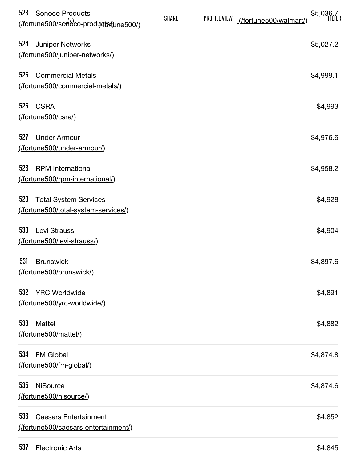| 523 | <b>Sonoco Products</b><br>(fortune500/sondco-produtatione500/)      | <b>SHARE</b> | <b>PROFILE VIEW</b> | (/fortune500/walmart/) | \$5,036.7 |
|-----|---------------------------------------------------------------------|--------------|---------------------|------------------------|-----------|
| 524 | Juniper Networks<br>(fortune500/juniper-networks/)                  |              |                     |                        | \$5,027.2 |
| 525 | <b>Commercial Metals</b><br>(/fortune500/commercial-metals/)        |              |                     |                        | \$4,999.1 |
| 526 | <b>CSRA</b><br>(fortune500/csra/)                                   |              |                     |                        | \$4,993   |
| 527 | <b>Under Armour</b><br>(/fortune500/under-armour/)                  |              |                     |                        | \$4,976.6 |
| 528 | <b>RPM</b> International<br>(/fortune500/rpm-international/)        |              |                     |                        | \$4,958.2 |
| 529 | <b>Total System Services</b><br>(fortune500/total-system-services/) |              |                     |                        | \$4,928   |
| 530 | Levi Strauss<br>(/fortune500/levi-strauss/)                         |              |                     |                        | \$4,904   |
| 531 | <b>Brunswick</b><br>(/fortune500/brunswick/)                        |              |                     |                        | \$4,897.6 |
| 532 | <b>YRC Worldwide</b><br>(fortune500/yrc-worldwide/)                 |              |                     |                        | \$4,891   |
| 533 | Mattel<br>(fortune500/mattel/)                                      |              |                     |                        | \$4,882   |
| 534 | <b>FM Global</b><br>(fortune500/fm-global/)                         |              |                     |                        | \$4,874.8 |
| 535 | <b>NiSource</b><br>(fortune500/nisource/)                           |              |                     |                        | \$4,874.6 |
| 536 | <b>Caesars Entertainment</b><br>(fortune500/caesars-entertainment/) |              |                     |                        | \$4,852   |
|     |                                                                     |              |                     |                        |           |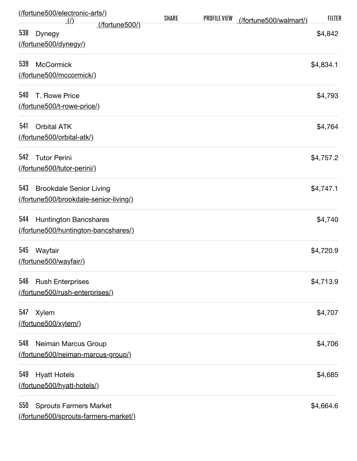| (/fortune500/electronic-arts/)<br>$\langle \rho \rangle$                       | <b>SHARE</b> | <b>PROFILE VIEW</b> | (/fortune500/walmart/) | <b>FILTER</b> |
|--------------------------------------------------------------------------------|--------------|---------------------|------------------------|---------------|
| <u>(/fortune500/)</u><br>538<br><b>Dynegy</b><br>(fortune500/dynegy/)          |              |                     |                        | \$4,842       |
| 539<br><b>McCormick</b><br>(fortune500/mccormick/)                             |              |                     |                        | \$4,834.1     |
| 540<br>T. Rowe Price<br>(fortune500/t-rowe-price/)                             |              |                     |                        | \$4,793       |
| 541<br><b>Orbital ATK</b><br>(/fortune500/orbital-atk/)                        |              |                     |                        | \$4,764       |
| 542<br><b>Tutor Perini</b><br>(/fortune500/tutor-perini/)                      |              |                     |                        | \$4,757.2     |
| 543<br><b>Brookdale Senior Living</b><br>(fortune500/brookdale-senior-living/) |              |                     |                        | \$4,747.1     |
| 544<br>Huntington Bancshares<br>(fortune500/huntington-bancshares/)            |              |                     |                        | \$4,740       |
| 545<br>Wayfair<br>(fortune500/wayfair/)                                        |              |                     |                        | \$4,720.9     |
| 546<br><b>Rush Enterprises</b><br>(fortune500/rush-enterprises/)               |              |                     |                        | \$4,713.9     |
| 547<br><b>Xylem</b><br>(fortune500/xylem/)                                     |              |                     |                        | \$4,707       |
| 548<br>Neiman Marcus Group<br>(fortune500/neiman-marcus-group/)                |              |                     |                        | \$4,706       |
| 549<br><b>Hyatt Hotels</b><br>(fortune500/hyatt-hotels/)                       |              |                     |                        | \$4,685       |
| 550<br><b>Sprouts Farmers Market</b><br>(fortune500/sprouts-farmers-market/)   |              |                     |                        | \$4,664.6     |